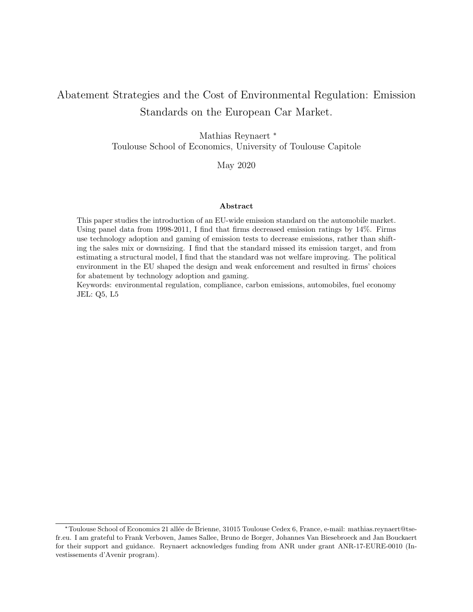# Abatement Strategies and the Cost of Environmental Regulation: Emission Standards on the European Car Market.

Mathias Reynaert \* Toulouse School of Economics, University of Toulouse Capitole

May 2020

#### Abstract

This paper studies the introduction of an EU-wide emission standard on the automobile market. Using panel data from 1998-2011, I find that firms decreased emission ratings by 14%. Firms use technology adoption and gaming of emission tests to decrease emissions, rather than shifting the sales mix or downsizing. I find that the standard missed its emission target, and from estimating a structural model, I find that the standard was not welfare improving. The political environment in the EU shaped the design and weak enforcement and resulted in firms' choices for abatement by technology adoption and gaming.

Keywords: environmental regulation, compliance, carbon emissions, automobiles, fuel economy JEL: Q5, L5

<sup>\*</sup>Toulouse School of Economics 21 allée de Brienne, 31015 Toulouse Cedex 6, France, e-mail: mathias.reynaert@tsefr.eu. I am grateful to Frank Verboven, James Sallee, Bruno de Borger, Johannes Van Biesebroeck and Jan Bouckaert for their support and guidance. Reynaert acknowledges funding from ANR under grant ANR-17-EURE-0010 (Investissements d'Avenir program).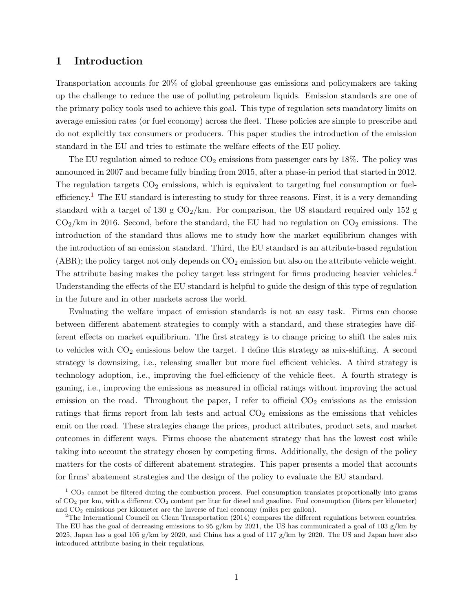# 1 Introduction

Transportation accounts for 20% of global greenhouse gas emissions and policymakers are taking up the challenge to reduce the use of polluting petroleum liquids. Emission standards are one of the primary policy tools used to achieve this goal. This type of regulation sets mandatory limits on average emission rates (or fuel economy) across the fleet. These policies are simple to prescribe and do not explicitly tax consumers or producers. This paper studies the introduction of the emission standard in the EU and tries to estimate the welfare effects of the EU policy.

The EU regulation aimed to reduce  $CO<sub>2</sub>$  emissions from passenger cars by 18%. The policy was announced in 2007 and became fully binding from 2015, after a phase-in period that started in 2012. The regulation targets  $CO<sub>2</sub>$  emissions, which is equivalent to targeting fuel consumption or fuel-efficiency.<sup>[1](#page-1-0)</sup> The EU standard is interesting to study for three reasons. First, it is a very demanding standard with a target of 130 g  $\rm CO_2/km$ . For comparison, the US standard required only 152 g  $CO<sub>2</sub>/km$  in 2016. Second, before the standard, the EU had no regulation on  $CO<sub>2</sub>$  emissions. The introduction of the standard thus allows me to study how the market equilibrium changes with the introduction of an emission standard. Third, the EU standard is an attribute-based regulation (ABR); the policy target not only depends on  $CO<sub>2</sub>$  emission but also on the attribute vehicle weight. The attribute basing makes the policy target less stringent for firms producing heavier vehicles.<sup>[2](#page-1-1)</sup> Understanding the effects of the EU standard is helpful to guide the design of this type of regulation in the future and in other markets across the world.

Evaluating the welfare impact of emission standards is not an easy task. Firms can choose between different abatement strategies to comply with a standard, and these strategies have different effects on market equilibrium. The first strategy is to change pricing to shift the sales mix to vehicles with  $CO<sub>2</sub>$  emissions below the target. I define this strategy as mix-shifting. A second strategy is downsizing, i.e., releasing smaller but more fuel efficient vehicles. A third strategy is technology adoption, i.e., improving the fuel-efficiency of the vehicle fleet. A fourth strategy is gaming, i.e., improving the emissions as measured in official ratings without improving the actual emission on the road. Throughout the paper, I refer to official  $CO<sub>2</sub>$  emissions as the emission ratings that firms report from lab tests and actual  $CO<sub>2</sub>$  emissions as the emissions that vehicles emit on the road. These strategies change the prices, product attributes, product sets, and market outcomes in different ways. Firms choose the abatement strategy that has the lowest cost while taking into account the strategy chosen by competing firms. Additionally, the design of the policy matters for the costs of different abatement strategies. This paper presents a model that accounts for firms' abatement strategies and the design of the policy to evaluate the EU standard.

<span id="page-1-0"></span> $1 \text{ CO}_2$  cannot be filtered during the combustion process. Fuel consumption translates proportionally into grams of CO<sup>2</sup> per km, with a different CO<sup>2</sup> content per liter for diesel and gasoline. Fuel consumption (liters per kilometer) and CO<sup>2</sup> emissions per kilometer are the inverse of fuel economy (miles per gallon).

<span id="page-1-1"></span><sup>2</sup>The International Council on Clean Transportation (2014) compares the different regulations between countries. The EU has the goal of decreasing emissions to 95 g/km by 2021, the US has communicated a goal of 103 g/km by 2025, Japan has a goal 105 g/km by 2020, and China has a goal of 117 g/km by 2020. The US and Japan have also introduced attribute basing in their regulations.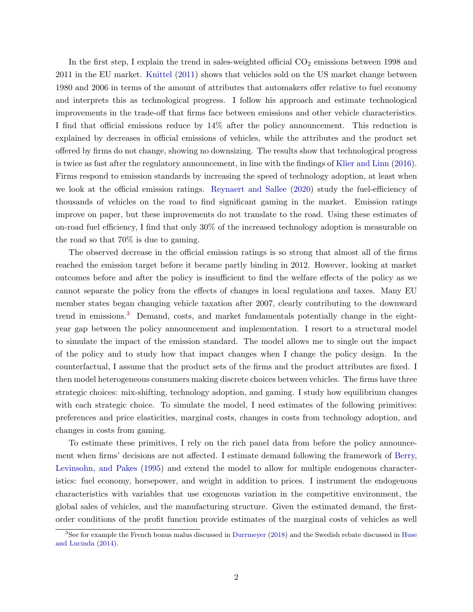In the first step, I explain the trend in sales-weighted official  $CO<sub>2</sub>$  emissions between 1998 and 2011 in the EU market. [Knittel](#page-41-0) [\(2011\)](#page-41-0) shows that vehicles sold on the US market change between 1980 and 2006 in terms of the amount of attributes that automakers offer relative to fuel economy and interprets this as technological progress. I follow his approach and estimate technological improvements in the trade-off that firms face between emissions and other vehicle characteristics. I find that official emissions reduce by 14% after the policy announcement. This reduction is explained by decreases in official emissions of vehicles, while the attributes and the product set offered by firms do not change, showing no downsizing. The results show that technological progress is twice as fast after the regulatory announcement, in line with the findings of [Klier and Linn](#page-41-1) [\(2016\)](#page-41-1). Firms respond to emission standards by increasing the speed of technology adoption, at least when we look at the official emission ratings. [Reynaert and Sallee](#page-42-0) [\(2020\)](#page-42-0) study the fuel-efficiency of thousands of vehicles on the road to find significant gaming in the market. Emission ratings improve on paper, but these improvements do not translate to the road. Using these estimates of on-road fuel efficiency, I find that only 30% of the increased technology adoption is measurable on the road so that 70% is due to gaming.

The observed decrease in the official emission ratings is so strong that almost all of the firms reached the emission target before it became partly binding in 2012. However, looking at market outcomes before and after the policy is insufficient to find the welfare effects of the policy as we cannot separate the policy from the effects of changes in local regulations and taxes. Many EU member states began changing vehicle taxation after 2007, clearly contributing to the downward trend in emissions.<sup>[3](#page-2-0)</sup> Demand, costs, and market fundamentals potentially change in the eightyear gap between the policy announcement and implementation. I resort to a structural model to simulate the impact of the emission standard. The model allows me to single out the impact of the policy and to study how that impact changes when I change the policy design. In the counterfactual, I assume that the product sets of the firms and the product attributes are fixed. I then model heterogeneous consumers making discrete choices between vehicles. The firms have three strategic choices: mix-shifting, technology adoption, and gaming. I study how equilibrium changes with each strategic choice. To simulate the model, I need estimates of the following primitives: preferences and price elasticities, marginal costs, changes in costs from technology adoption, and changes in costs from gaming.

To estimate these primitives, I rely on the rich panel data from before the policy announcement when firms' decisions are not affected. I estimate demand following the framework of [Berry,](#page-39-0) [Levinsohn, and Pakes](#page-39-0) [\(1995\)](#page-39-0) and extend the model to allow for multiple endogenous characteristics: fuel economy, horsepower, and weight in addition to prices. I instrument the endogenous characteristics with variables that use exogenous variation in the competitive environment, the global sales of vehicles, and the manufacturing structure. Given the estimated demand, the firstorder conditions of the profit function provide estimates of the marginal costs of vehicles as well

<span id="page-2-0"></span><sup>&</sup>lt;sup>3</sup>See for example the French bonus malus discussed in [Durrmeyer](#page-40-0) [\(2018\)](#page-40-0) and the Swedish rebate discussed in [Huse](#page-41-2) [and Lucinda](#page-41-2) [\(2014\)](#page-41-2).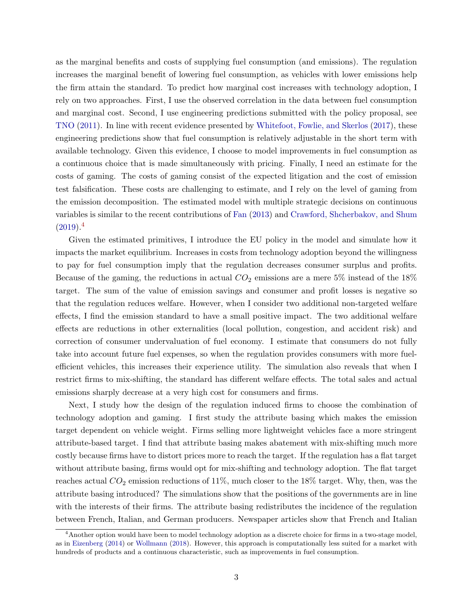as the marginal benefits and costs of supplying fuel consumption (and emissions). The regulation increases the marginal benefit of lowering fuel consumption, as vehicles with lower emissions help the firm attain the standard. To predict how marginal cost increases with technology adoption, I rely on two approaches. First, I use the observed correlation in the data between fuel consumption and marginal cost. Second, I use engineering predictions submitted with the policy proposal, see [TNO](#page-42-1) [\(2011\)](#page-42-1). In line with recent evidence presented by [Whitefoot, Fowlie, and Skerlos](#page-42-2) [\(2017\)](#page-42-2), these engineering predictions show that fuel consumption is relatively adjustable in the short term with available technology. Given this evidence, I choose to model improvements in fuel consumption as a continuous choice that is made simultaneously with pricing. Finally, I need an estimate for the costs of gaming. The costs of gaming consist of the expected litigation and the cost of emission test falsification. These costs are challenging to estimate, and I rely on the level of gaming from the emission decomposition. The estimated model with multiple strategic decisions on continuous variables is similar to the recent contributions of [Fan](#page-40-1) [\(2013\)](#page-40-1) and [Crawford, Shcherbakov, and Shum](#page-39-1)  $(2019).4$  $(2019).4$  $(2019).4$ 

Given the estimated primitives, I introduce the EU policy in the model and simulate how it impacts the market equilibrium. Increases in costs from technology adoption beyond the willingness to pay for fuel consumption imply that the regulation decreases consumer surplus and profits. Because of the gaming, the reductions in actual  $CO<sub>2</sub>$  emissions are a mere 5% instead of the 18% target. The sum of the value of emission savings and consumer and profit losses is negative so that the regulation reduces welfare. However, when I consider two additional non-targeted welfare effects, I find the emission standard to have a small positive impact. The two additional welfare effects are reductions in other externalities (local pollution, congestion, and accident risk) and correction of consumer undervaluation of fuel economy. I estimate that consumers do not fully take into account future fuel expenses, so when the regulation provides consumers with more fuelefficient vehicles, this increases their experience utility. The simulation also reveals that when I restrict firms to mix-shifting, the standard has different welfare effects. The total sales and actual emissions sharply decrease at a very high cost for consumers and firms.

Next, I study how the design of the regulation induced firms to choose the combination of technology adoption and gaming. I first study the attribute basing which makes the emission target dependent on vehicle weight. Firms selling more lightweight vehicles face a more stringent attribute-based target. I find that attribute basing makes abatement with mix-shifting much more costly because firms have to distort prices more to reach the target. If the regulation has a flat target without attribute basing, firms would opt for mix-shifting and technology adoption. The flat target reaches actual  $CO_2$  emission reductions of 11%, much closer to the 18% target. Why, then, was the attribute basing introduced? The simulations show that the positions of the governments are in line with the interests of their firms. The attribute basing redistributes the incidence of the regulation between French, Italian, and German producers. Newspaper articles show that French and Italian

<span id="page-3-0"></span><sup>&</sup>lt;sup>4</sup> Another option would have been to model technology adoption as a discrete choice for firms in a two-stage model, as in [Eizenberg](#page-40-2) [\(2014\)](#page-40-2) or [Wollmann](#page-42-3) [\(2018\)](#page-42-3). However, this approach is computationally less suited for a market with hundreds of products and a continuous characteristic, such as improvements in fuel consumption.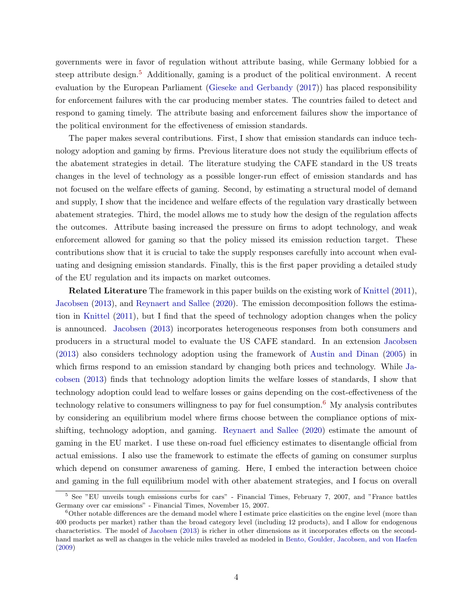governments were in favor of regulation without attribute basing, while Germany lobbied for a steep attribute design.<sup>[5](#page-4-0)</sup> Additionally, gaming is a product of the political environment. A recent evaluation by the European Parliament [\(Gieseke and Gerbandy](#page-40-3) [\(2017\)](#page-40-3)) has placed responsibility for enforcement failures with the car producing member states. The countries failed to detect and respond to gaming timely. The attribute basing and enforcement failures show the importance of the political environment for the effectiveness of emission standards.

The paper makes several contributions. First, I show that emission standards can induce technology adoption and gaming by firms. Previous literature does not study the equilibrium effects of the abatement strategies in detail. The literature studying the CAFE standard in the US treats changes in the level of technology as a possible longer-run effect of emission standards and has not focused on the welfare effects of gaming. Second, by estimating a structural model of demand and supply, I show that the incidence and welfare effects of the regulation vary drastically between abatement strategies. Third, the model allows me to study how the design of the regulation affects the outcomes. Attribute basing increased the pressure on firms to adopt technology, and weak enforcement allowed for gaming so that the policy missed its emission reduction target. These contributions show that it is crucial to take the supply responses carefully into account when evaluating and designing emission standards. Finally, this is the first paper providing a detailed study of the EU regulation and its impacts on market outcomes.

Related Literature The framework in this paper builds on the existing work of [Knittel](#page-41-0) [\(2011\)](#page-41-0), [Jacobsen](#page-41-3) [\(2013\)](#page-41-3), and [Reynaert and Sallee](#page-42-0) [\(2020\)](#page-42-0). The emission decomposition follows the estimation in [Knittel](#page-41-0) [\(2011\)](#page-41-0), but I find that the speed of technology adoption changes when the policy is announced. [Jacobsen](#page-41-3) [\(2013\)](#page-41-3) incorporates heterogeneous responses from both consumers and producers in a structural model to evaluate the US CAFE standard. In an extension [Jacobsen](#page-41-3) [\(2013\)](#page-41-3) also considers technology adoption using the framework of [Austin and Dinan](#page-39-2) [\(2005\)](#page-39-2) in which firms respond to an emission standard by changing both prices and technology. While [Ja](#page-41-3)[cobsen](#page-41-3) [\(2013\)](#page-41-3) finds that technology adoption limits the welfare losses of standards, I show that technology adoption could lead to welfare losses or gains depending on the cost-effectiveness of the technology relative to consumers willingness to pay for fuel consumption.<sup>[6](#page-4-1)</sup> My analysis contributes by considering an equilibrium model where firms choose between the compliance options of mixshifting, technology adoption, and gaming. [Reynaert and Sallee](#page-42-0) [\(2020\)](#page-42-0) estimate the amount of gaming in the EU market. I use these on-road fuel efficiency estimates to disentangle official from actual emissions. I also use the framework to estimate the effects of gaming on consumer surplus which depend on consumer awareness of gaming. Here, I embed the interaction between choice and gaming in the full equilibrium model with other abatement strategies, and I focus on overall

<span id="page-4-0"></span><sup>5</sup> See "EU unveils tough emissions curbs for cars" - Financial Times, February 7, 2007, and "France battles Germany over car emissions" - Financial Times, November 15, 2007.

<span id="page-4-1"></span> $6$ Other notable differences are the demand model where I estimate price elasticities on the engine level (more than 400 products per market) rather than the broad category level (including 12 products), and I allow for endogenous characteristics. The model of [Jacobsen](#page-41-3) [\(2013\)](#page-41-3) is richer in other dimensions as it incorporates effects on the secondhand market as well as changes in the vehicle miles traveled as modeled in [Bento, Goulder, Jacobsen, and von Haefen](#page-39-3) [\(2009\)](#page-39-3)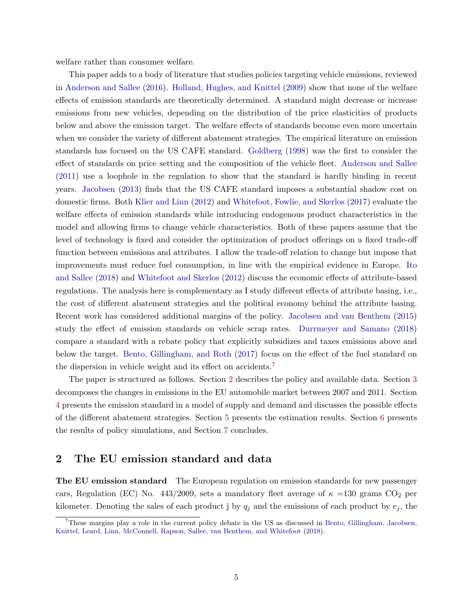welfare rather than consumer welfare.

This paper adds to a body of literature that studies policies targeting vehicle emissions, reviewed in [Anderson and Sallee](#page-39-4) [\(2016\)](#page-39-4). [Holland, Hughes, and Knittel](#page-41-4) [\(2009\)](#page-41-4) show that none of the welfare effects of emission standards are theoretically determined. A standard might decrease or increase emissions from new vehicles, depending on the distribution of the price elasticities of products below and above the emission target. The welfare effects of standards become even more uncertain when we consider the variety of different abatement strategies. The empirical literature on emission standards has focused on the US CAFE standard. [Goldberg](#page-40-4) [\(1998\)](#page-40-4) was the first to consider the effect of standards on price setting and the composition of the vehicle fleet. [Anderson and Sallee](#page-39-5) [\(2011\)](#page-39-5) use a loophole in the regulation to show that the standard is hardly binding in recent years. [Jacobsen](#page-41-3) [\(2013\)](#page-41-3) finds that the US CAFE standard imposes a substantial shadow cost on domestic firms. Both [Klier and Linn](#page-41-5) [\(2012\)](#page-41-5) and [Whitefoot, Fowlie, and Skerlos](#page-42-2) [\(2017\)](#page-42-2) evaluate the welfare effects of emission standards while introducing endogenous product characteristics in the model and allowing firms to change vehicle characteristics. Both of these papers assume that the level of technology is fixed and consider the optimization of product offerings on a fixed trade-off function between emissions and attributes. I allow the trade-off relation to change but impose that improvements must reduce fuel consumption, in line with the empirical evidence in Europe. [Ito](#page-41-6) [and Sallee](#page-41-6) [\(2018\)](#page-41-6) and [Whitefoot and Skerlos](#page-42-4) [\(2012\)](#page-42-4) discuss the economic effects of attribute-based regulations. The analysis here is complementary as I study different effects of attribute basing, i.e., the cost of different abatement strategies and the political economy behind the attribute basing. Recent work has considered additional margins of the policy. [Jacobsen and van Benthem](#page-41-7) [\(2015\)](#page-41-7) study the effect of emission standards on vehicle scrap rates. [Durrmeyer and Samano](#page-40-5) [\(2018\)](#page-40-5) compare a standard with a rebate policy that explicitly subsidizes and taxes emissions above and below the target. [Bento, Gillingham, and Roth](#page-39-6) [\(2017\)](#page-39-6) focus on the effect of the fuel standard on the dispersion in vehicle weight and its effect on accidents.[7](#page-5-0)

The paper is structured as follows. Section [2](#page-5-1) describes the policy and available data. Section [3](#page-10-0) decomposes the changes in emissions in the EU automobile market between 2007 and 2011. Section [4](#page-15-0) presents the emission standard in a model of supply and demand and discusses the possible effects of the different abatement strategies. Section [5](#page-21-0) presents the estimation results. Section [6](#page-28-0) presents the results of policy simulations, and Section [7](#page-37-0) concludes.

# 2 The EU emission standard and data

<span id="page-5-1"></span>The EU emission standard The European regulation on emission standards for new passenger cars, Regulation (EC) No. 443/2009, sets a mandatory fleet average of  $\kappa = 130$  grams CO<sub>2</sub> per kilometer. Denoting the sales of each product j by  $q_j$  and the emissions of each product by  $e_j$ , the

<span id="page-5-0"></span><sup>&</sup>lt;sup>7</sup>These margins play a role in the current policy debate in the US as discussed in [Bento, Gillingham, Jacobsen,](#page-39-7) [Knittel, Leard, Linn, McConnell, Rapson, Sallee, van Benthem, and Whitefoot](#page-39-7) [\(2018\)](#page-39-7).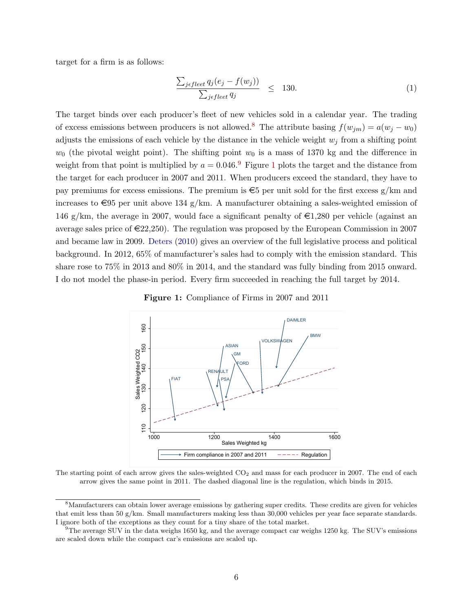target for a firm is as follows:

$$
\frac{\sum_{j \in fleet} q_j (e_j - f(w_j))}{\sum_{j \in fleet} q_j} \leq 130.
$$
\n(1)

The target binds over each producer's fleet of new vehicles sold in a calendar year. The trading of excess emissions between producers is not allowed.<sup>[8](#page-6-0)</sup> The attribute basing  $f(w_{jm}) = a(w_j - w_0)$ adjusts the emissions of each vehicle by the distance in the vehicle weight  $w_j$  from a shifting point  $w_0$  (the pivotal weight point). The shifting point  $w_0$  is a mass of 1370 kg and the difference in weight from that point is multiplied by  $a = 0.046$ . Figure [1](#page-6-2) plots the target and the distance from the target for each producer in 2007 and 2011. When producers exceed the standard, they have to pay premiums for excess emissions. The premium is  $\epsilon$ 5 per unit sold for the first excess g/km and increases to  $\epsilon$ 95 per unit above 134 g/km. A manufacturer obtaining a sales-weighted emission of 146 g/km, the average in 2007, would face a significant penalty of  $\epsilon$ 1,280 per vehicle (against an average sales price of  $\in 22,250$ . The regulation was proposed by the European Commission in 2007 and became law in 2009. [Deters](#page-39-8) [\(2010\)](#page-39-8) gives an overview of the full legislative process and political background. In 2012, 65% of manufacturer's sales had to comply with the emission standard. This share rose to 75% in 2013 and 80% in 2014, and the standard was fully binding from 2015 onward. I do not model the phase-in period. Every firm succeeded in reaching the full target by 2014.

Figure 1: Compliance of Firms in 2007 and 2011

<span id="page-6-2"></span>

The starting point of each arrow gives the sales-weighted  $CO<sub>2</sub>$  and mass for each producer in 2007. The end of each arrow gives the same point in 2011. The dashed diagonal line is the regulation, which binds in 2015.

<span id="page-6-0"></span><sup>8</sup>Manufacturers can obtain lower average emissions by gathering super credits. These credits are given for vehicles that emit less than 50 g/km. Small manufacturers making less than 30,000 vehicles per year face separate standards. I ignore both of the exceptions as they count for a tiny share of the total market.

<span id="page-6-1"></span> $^{9}$ The average SUV in the data weighs 1650 kg, and the average compact car weighs 1250 kg. The SUV's emissions are scaled down while the compact car's emissions are scaled up.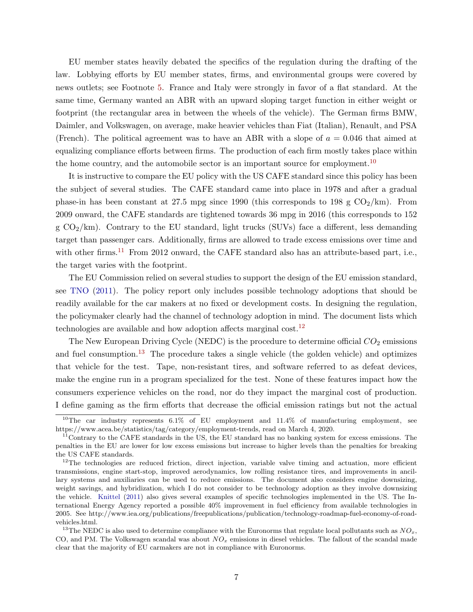EU member states heavily debated the specifics of the regulation during the drafting of the law. Lobbying efforts by EU member states, firms, and environmental groups were covered by news outlets; see Footnote [5.](#page-4-0) France and Italy were strongly in favor of a flat standard. At the same time, Germany wanted an ABR with an upward sloping target function in either weight or footprint (the rectangular area in between the wheels of the vehicle). The German firms BMW, Daimler, and Volkswagen, on average, make heavier vehicles than Fiat (Italian), Renault, and PSA (French). The political agreement was to have an ABR with a slope of  $a = 0.046$  that aimed at equalizing compliance efforts between firms. The production of each firm mostly takes place within the home country, and the automobile sector is an important source for employment.<sup>[10](#page-7-0)</sup>

It is instructive to compare the EU policy with the US CAFE standard since this policy has been the subject of several studies. The CAFE standard came into place in 1978 and after a gradual phase-in has been constant at 27.5 mpg since 1990 (this corresponds to 198 g  $CO<sub>2</sub>/km$ ). From 2009 onward, the CAFE standards are tightened towards 36 mpg in 2016 (this corresponds to 152  $g \text{CO}_2/\text{km}$ ). Contrary to the EU standard, light trucks (SUVs) face a different, less demanding target than passenger cars. Additionally, firms are allowed to trade excess emissions over time and with other firms.<sup>[11](#page-7-1)</sup> From 2012 onward, the CAFE standard also has an attribute-based part, i.e., the target varies with the footprint.

The EU Commission relied on several studies to support the design of the EU emission standard, see [TNO](#page-42-1) [\(2011\)](#page-42-1). The policy report only includes possible technology adoptions that should be readily available for the car makers at no fixed or development costs. In designing the regulation, the policymaker clearly had the channel of technology adoption in mind. The document lists which technologies are available and how adoption affects marginal cost.<sup>[12](#page-7-2)</sup>

The New European Driving Cycle (NEDC) is the procedure to determine official  $CO<sub>2</sub>$  emissions and fuel consumption.<sup>[13](#page-7-3)</sup> The procedure takes a single vehicle (the golden vehicle) and optimizes that vehicle for the test. Tape, non-resistant tires, and software referred to as defeat devices, make the engine run in a program specialized for the test. None of these features impact how the consumers experience vehicles on the road, nor do they impact the marginal cost of production. I define gaming as the firm efforts that decrease the official emission ratings but not the actual

<span id="page-7-0"></span><sup>&</sup>lt;sup>10</sup>The car industry represents  $6.1\%$  of EU employment and  $11.4\%$  of manufacturing employment, see https://www.acea.be/statistics/tag/category/employment-trends, read on March 4, 2020.

<span id="page-7-1"></span><sup>&</sup>lt;sup>11</sup>Contrary to the CAFE standards in the US, the EU standard has no banking system for excess emissions. The penalties in the EU are lower for low excess emissions but increase to higher levels than the penalties for breaking the US CAFE standards.

<span id="page-7-2"></span> $12$ The technologies are reduced friction, direct injection, variable valve timing and actuation, more efficient transmissions, engine start-stop, improved aerodynamics, low rolling resistance tires, and improvements in ancillary systems and auxiliaries can be used to reduce emissions. The document also considers engine downsizing, weight savings, and hybridization, which I do not consider to be technology adoption as they involve downsizing the vehicle. [Knittel](#page-41-0) [\(2011\)](#page-41-0) also gives several examples of specific technologies implemented in the US. The International Energy Agency reported a possible 40% improvement in fuel efficiency from available technologies in 2005. See http://www.iea.org/publications/freepublications/publication/technology-roadmap-fuel-economy-of-roadvehicles.html.

<span id="page-7-3"></span><sup>&</sup>lt;sup>13</sup>The NEDC is also used to determine compliance with the Euronorms that regulate local pollutants such as  $NO_x$ , CO, and PM. The Volkswagen scandal was about  $NO_x$  emissions in diesel vehicles. The fallout of the scandal made clear that the majority of EU carmakers are not in compliance with Euronorms.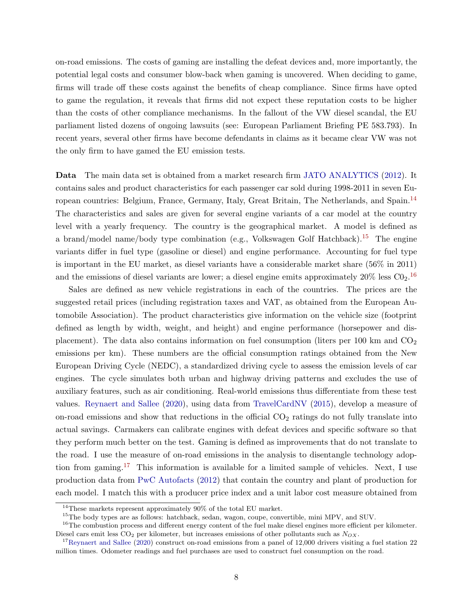on-road emissions. The costs of gaming are installing the defeat devices and, more importantly, the potential legal costs and consumer blow-back when gaming is uncovered. When deciding to game, firms will trade off these costs against the benefits of cheap compliance. Since firms have opted to game the regulation, it reveals that firms did not expect these reputation costs to be higher than the costs of other compliance mechanisms. In the fallout of the VW diesel scandal, the EU parliament listed dozens of ongoing lawsuits (see: European Parliament Briefing PE 583.793). In recent years, several other firms have become defendants in claims as it became clear VW was not the only firm to have gamed the EU emission tests.

Data The main data set is obtained from a market research firm [JATO ANALYTICS](#page-41-8) [\(2012\)](#page-41-8). It contains sales and product characteristics for each passenger car sold during 1998-2011 in seven European countries: Belgium, France, Germany, Italy, Great Britain, The Netherlands, and Spain.[14](#page-8-0) The characteristics and sales are given for several engine variants of a car model at the country level with a yearly frequency. The country is the geographical market. A model is defined as a brand/model name/body type combination (e.g., Volkswagen Golf Hatchback).<sup>[15](#page-8-1)</sup> The engine variants differ in fuel type (gasoline or diesel) and engine performance. Accounting for fuel type is important in the EU market, as diesel variants have a considerable market share (56% in 2011) and the emissions of diesel variants are lower; a diesel engine emits approximately  $20\%$  less  $\text{C0}_2$ .<sup>[16](#page-8-2)</sup>

Sales are defined as new vehicle registrations in each of the countries. The prices are the suggested retail prices (including registration taxes and VAT, as obtained from the European Automobile Association). The product characteristics give information on the vehicle size (footprint defined as length by width, weight, and height) and engine performance (horsepower and displacement). The data also contains information on fuel consumption (liters per 100 km and  $CO<sub>2</sub>$ emissions per km). These numbers are the official consumption ratings obtained from the New European Driving Cycle (NEDC), a standardized driving cycle to assess the emission levels of car engines. The cycle simulates both urban and highway driving patterns and excludes the use of auxiliary features, such as air conditioning. Real-world emissions thus differentiate from these test values. [Reynaert and Sallee](#page-42-0) [\(2020\)](#page-42-0), using data from [TravelCardNV](#page-42-5) [\(2015\)](#page-42-5), develop a measure of on-road emissions and show that reductions in the official  $CO<sub>2</sub>$  ratings do not fully translate into actual savings. Carmakers can calibrate engines with defeat devices and specific software so that they perform much better on the test. Gaming is defined as improvements that do not translate to the road. I use the measure of on-road emissions in the analysis to disentangle technology adop-tion from gaming.<sup>[17](#page-8-3)</sup> This information is available for a limited sample of vehicles. Next, I use production data from [PwC Autofacts](#page-42-6) [\(2012\)](#page-42-6) that contain the country and plant of production for each model. I match this with a producer price index and a unit labor cost measure obtained from

<span id="page-8-1"></span><span id="page-8-0"></span><sup>&</sup>lt;sup>14</sup>These markets represent approximately 90% of the total EU market.

<span id="page-8-2"></span><sup>&</sup>lt;sup>15</sup>The body types are as follows: hatchback, sedan, wagon, coupe, convertible, mini MPV, and SUV.

<sup>&</sup>lt;sup>16</sup>The combustion process and different energy content of the fuel make diesel engines more efficient per kilometer. Diesel cars emit less  $CO<sub>2</sub>$  per kilometer, but increases emissions of other pollutants such as  $N_{OX}$ .

<span id="page-8-3"></span><sup>&</sup>lt;sup>17</sup>[Reynaert and Sallee](#page-42-0) [\(2020\)](#page-42-0) construct on-road emissions from a panel of 12,000 drivers visiting a fuel station 22 million times. Odometer readings and fuel purchases are used to construct fuel consumption on the road.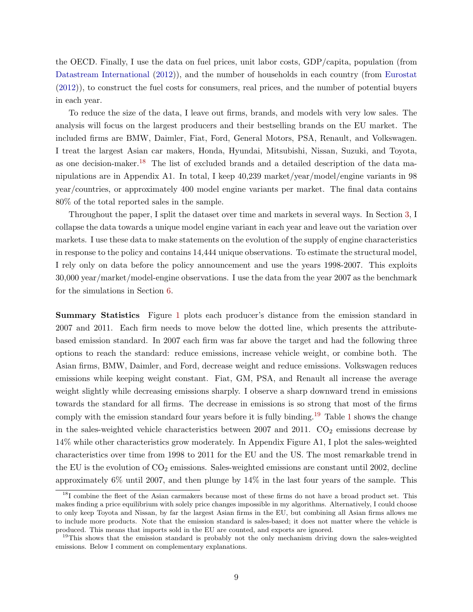the OECD. Finally, I use the data on fuel prices, unit labor costs, GDP/capita, population (from [Datastream International](#page-39-9) [\(2012\)](#page-39-9)), and the number of households in each country (from [Eurostat](#page-40-6) [\(2012\)](#page-40-6)), to construct the fuel costs for consumers, real prices, and the number of potential buyers in each year.

To reduce the size of the data, I leave out firms, brands, and models with very low sales. The analysis will focus on the largest producers and their bestselling brands on the EU market. The included firms are BMW, Daimler, Fiat, Ford, General Motors, PSA, Renault, and Volkswagen. I treat the largest Asian car makers, Honda, Hyundai, Mitsubishi, Nissan, Suzuki, and Toyota, as one decision-maker.<sup>[18](#page-9-0)</sup> The list of excluded brands and a detailed description of the data manipulations are in Appendix A1. In total, I keep 40,239 market/year/model/engine variants in 98 year/countries, or approximately 400 model engine variants per market. The final data contains 80% of the total reported sales in the sample.

Throughout the paper, I split the dataset over time and markets in several ways. In Section [3,](#page-10-0) I collapse the data towards a unique model engine variant in each year and leave out the variation over markets. I use these data to make statements on the evolution of the supply of engine characteristics in response to the policy and contains 14,444 unique observations. To estimate the structural model, I rely only on data before the policy announcement and use the years 1998-2007. This exploits 30,000 year/market/model-engine observations. I use the data from the year 2007 as the benchmark for the simulations in Section [6.](#page-28-0)

Summary Statistics Figure [1](#page-6-2) plots each producer's distance from the emission standard in 2007 and 2011. Each firm needs to move below the dotted line, which presents the attributebased emission standard. In 2007 each firm was far above the target and had the following three options to reach the standard: reduce emissions, increase vehicle weight, or combine both. The Asian firms, BMW, Daimler, and Ford, decrease weight and reduce emissions. Volkswagen reduces emissions while keeping weight constant. Fiat, GM, PSA, and Renault all increase the average weight slightly while decreasing emissions sharply. I observe a sharp downward trend in emissions towards the standard for all firms. The decrease in emissions is so strong that most of the firms comply with the emission standard four years before it is fully binding.<sup>[19](#page-9-1)</sup> Table [1](#page-10-1) shows the change in the sales-weighted vehicle characteristics between 2007 and 2011.  $CO<sub>2</sub>$  emissions decrease by 14% while other characteristics grow moderately. In Appendix Figure A1, I plot the sales-weighted characteristics over time from 1998 to 2011 for the EU and the US. The most remarkable trend in the EU is the evolution of  $CO<sub>2</sub>$  emissions. Sales-weighted emissions are constant until 2002, decline approximately 6% until 2007, and then plunge by 14% in the last four years of the sample. This

<span id="page-9-0"></span><sup>&</sup>lt;sup>18</sup>I combine the fleet of the Asian carmakers because most of these firms do not have a broad product set. This makes finding a price equilibrium with solely price changes impossible in my algorithms. Alternatively, I could choose to only keep Toyota and Nissan, by far the largest Asian firms in the EU, but combining all Asian firms allows me to include more products. Note that the emission standard is sales-based; it does not matter where the vehicle is produced. This means that imports sold in the EU are counted, and exports are ignored.

<span id="page-9-1"></span><sup>&</sup>lt;sup>19</sup>This shows that the emission standard is probably not the only mechanism driving down the sales-weighted emissions. Below I comment on complementary explanations.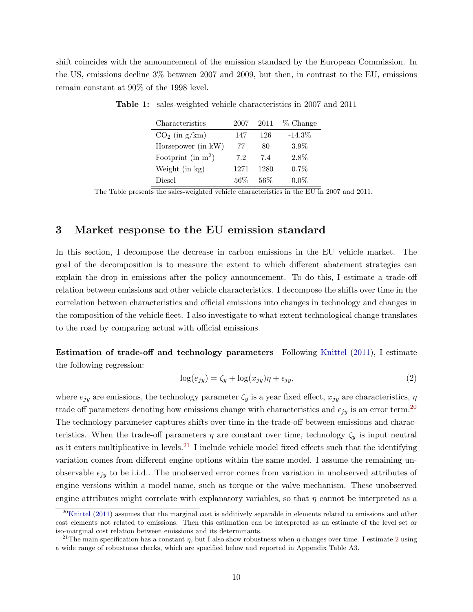<span id="page-10-1"></span>shift coincides with the announcement of the emission standard by the European Commission. In the US, emissions decline 3% between 2007 and 2009, but then, in contrast to the EU, emissions remain constant at 90% of the 1998 level.

| Characteristics       | 2007 | 2011   | % Change  |
|-----------------------|------|--------|-----------|
| $CO2$ (in g/km)       | 147  | 126    | $-14.3\%$ |
| Horsepower (in kW)    | 77   | 80     | $3.9\%$   |
| Footprint (in $m^2$ ) | 7.2  | 7.4    | 2.8%      |
| Weight (in kg)        | 1271 | 1280   | 0.7%      |
| Diesel                | 56%  | $56\%$ | $0.0\%$   |

Table 1: sales-weighted vehicle characteristics in 2007 and 2011

The Table presents the sales-weighted vehicle characteristics in the EU in 2007 and 2011.

#### <span id="page-10-0"></span>3 Market response to the EU emission standard

In this section, I decompose the decrease in carbon emissions in the EU vehicle market. The goal of the decomposition is to measure the extent to which different abatement strategies can explain the drop in emissions after the policy announcement. To do this, I estimate a trade-off relation between emissions and other vehicle characteristics. I decompose the shifts over time in the correlation between characteristics and official emissions into changes in technology and changes in the composition of the vehicle fleet. I also investigate to what extent technological change translates to the road by comparing actual with official emissions.

Estimation of trade-off and technology parameters Following [Knittel](#page-41-0) [\(2011\)](#page-41-0), I estimate the following regression:

<span id="page-10-4"></span>
$$
\log(e_{jy}) = \zeta_y + \log(x_{jy})\eta + \epsilon_{jy},\tag{2}
$$

where  $e_{jy}$  are emissions, the technology parameter  $\zeta_{y}$  is a year fixed effect,  $x_{jy}$  are characteristics,  $\eta$ trade off parameters denoting how emissions change with characteristics and  $\epsilon_{iy}$  is an error term.<sup>[20](#page-10-2)</sup> The technology parameter captures shifts over time in the trade-off between emissions and characteristics. When the trade-off parameters  $\eta$  are constant over time, technology  $\zeta_y$  is input neutral as it enters multiplicative in levels. $^{21}$  $^{21}$  $^{21}$  I include vehicle model fixed effects such that the identifying variation comes from different engine options within the same model. I assume the remaining unobservable  $\epsilon_{jy}$  to be i.i.d.. The unobserved error comes from variation in unobserved attributes of engine versions within a model name, such as torque or the valve mechanism. These unobserved engine attributes might correlate with explanatory variables, so that  $\eta$  cannot be interpreted as a

<span id="page-10-2"></span> $^{20}$ [Knittel](#page-41-0) [\(2011\)](#page-41-0) assumes that the marginal cost is additively separable in elements related to emissions and other cost elements not related to emissions. Then this estimation can be interpreted as an estimate of the level set or iso-marginal cost relation between emissions and its determinants.

<span id="page-10-3"></span><sup>&</sup>lt;sup>[2](#page-10-4)1</sup>The main specification has a constant  $\eta$ , but I also show robustness when  $\eta$  changes over time. I estimate 2 using a wide range of robustness checks, which are specified below and reported in Appendix Table A3.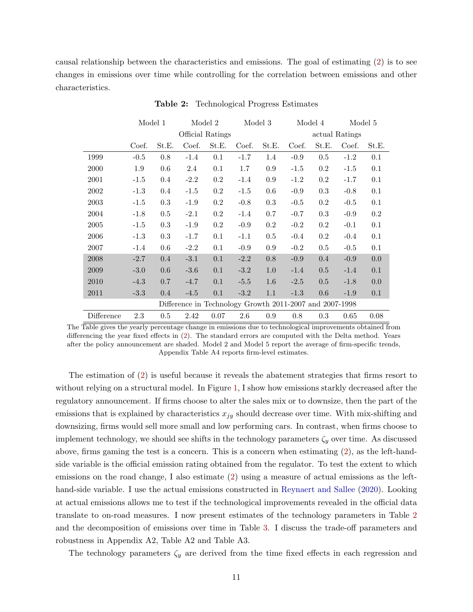<span id="page-11-0"></span>causal relationship between the characteristics and emissions. The goal of estimating [\(2\)](#page-10-4) is to see changes in emissions over time while controlling for the correlation between emissions and other characteristics.

|            | Model 1 |         |                  | Model 2 |         | Model 3 |                                                         | Model 4<br>Model 5 |                |           |
|------------|---------|---------|------------------|---------|---------|---------|---------------------------------------------------------|--------------------|----------------|-----------|
|            |         |         | Official Ratings |         |         |         |                                                         |                    | actual Ratings |           |
|            | Coef.   | St.E.   | Coef.            | St.E.   | Coef.   | St.E.   | Coef.                                                   | St.E.              | Coef.          | St.E.     |
| 1999       | $-0.5$  | 0.8     | $-1.4$           | 0.1     | $-1.7$  | 1.4     | $-0.9$                                                  | 0.5                | $-1.2$         | 0.1       |
| 2000       | 1.9     | 0.6     | 2.4              | 0.1     | 1.7     | 0.9     | $-1.5$                                                  | $0.2\,$            | $-1.5$         | 0.1       |
| 2001       | $-1.5$  | $0.4\,$ | $-2.2$           | $0.2\,$ | $-1.4$  | 0.9     | $-1.2$                                                  | 0.2                | $-1.7$         | 0.1       |
| 2002       | $-1.3$  | 0.4     | $-1.5$           | $0.2\,$ | $-1.5$  | 0.6     | $-0.9$                                                  | 0.3                | $-0.8$         | 0.1       |
| 2003       | $-1.5$  | 0.3     | $-1.9$           | $0.2\,$ | $-0.8$  | 0.3     | $-0.5$                                                  | 0.2                | $-0.5$         | 0.1       |
| 2004       | $-1.8$  | 0.5     | $-2.1$           | $0.2\,$ | $-1.4$  | 0.7     | $-0.7$                                                  | 0.3                | $-0.9$         | $\rm 0.2$ |
| 2005       | $-1.5$  | 0.3     | $-1.9$           | $0.2\,$ | $-0.9$  | $0.2\,$ | $-0.2$                                                  | 0.2                | $-0.1$         | 0.1       |
| 2006       | $-1.3$  | 0.3     | $-1.7$           | 0.1     | $-1.1$  | 0.5     | $-0.4$                                                  | 0.2                | $-0.4$         | 0.1       |
| 2007       | $-1.4$  | 0.6     | $-2.2$           | 0.1     | $-0.9$  | 0.9     | $-0.2$                                                  | 0.5                | $-0.5$         | 0.1       |
| 2008       | $-2.7$  | 0.4     | $-3.1$           | 0.1     | $-2.2$  | 0.8     | $-0.9$                                                  | 0.4                | $-0.9$         | $0.0\,$   |
| 2009       | $-3.0$  | 0.6     | $-3.6$           | 0.1     | $-3.2$  | 1.0     | $-1.4$                                                  | 0.5                | $-1.4$         | 0.1       |
| 2010       | $-4.3$  | 0.7     | $-4.7$           | 0.1     | $-5.5$  | 1.6     | $-2.5$                                                  | 0.5                | $-1.8$         | 0.0       |
| 2011       | $-3.3$  | 0.4     | $-4.5$           | 0.1     | $-3.2$  | 1.1     | $-1.3$                                                  | 0.6                | $-1.9$         | 0.1       |
|            |         |         |                  |         |         |         | Difference in Technology Growth 2011-2007 and 2007-1998 |                    |                |           |
| Difference | 2.3     | $0.5\,$ | 2.42             | 0.07    | $2.6\,$ | 0.9     | 0.8                                                     | 0.3                | 0.65           | 0.08      |

Table 2: Technological Progress Estimates

The Table gives the yearly percentage change in emissions due to technological improvements obtained from differencing the year fixed effects in [\(2\)](#page-10-4). The standard errors are computed with the Delta method. Years after the policy announcement are shaded. Model 2 and Model 5 report the average of firm-specific trends, Appendix Table A4 reports firm-level estimates.

The estimation of [\(2\)](#page-10-4) is useful because it reveals the abatement strategies that firms resort to without relying on a structural model. In Figure [1,](#page-6-2) I show how emissions starkly decreased after the regulatory announcement. If firms choose to alter the sales mix or to downsize, then the part of the emissions that is explained by characteristics  $x_{jy}$  should decrease over time. With mix-shifting and downsizing, firms would sell more small and low performing cars. In contrast, when firms choose to implement technology, we should see shifts in the technology parameters  $\zeta_y$  over time. As discussed above, firms gaming the test is a concern. This is a concern when estimating [\(2\)](#page-10-4), as the left-handside variable is the official emission rating obtained from the regulator. To test the extent to which emissions on the road change, I also estimate [\(2\)](#page-10-4) using a measure of actual emissions as the lefthand-side variable. I use the actual emissions constructed in [Reynaert and Sallee](#page-42-0) [\(2020\)](#page-42-0). Looking at actual emissions allows me to test if the technological improvements revealed in the official data translate to on-road measures. I now present estimates of the technology parameters in Table [2](#page-11-0) and the decomposition of emissions over time in Table [3.](#page-13-0) I discuss the trade-off parameters and robustness in Appendix A2, Table A2 and Table A3.

The technology parameters  $\zeta_y$  are derived from the time fixed effects in each regression and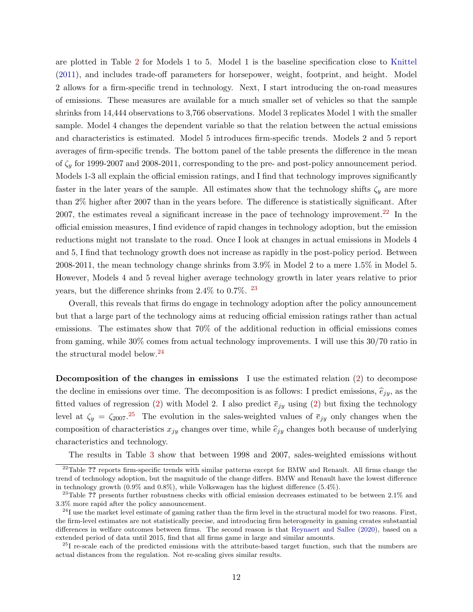are plotted in Table [2](#page-11-0) for Models 1 to 5. Model 1 is the baseline specification close to [Knittel](#page-41-0) [\(2011\)](#page-41-0), and includes trade-off parameters for horsepower, weight, footprint, and height. Model 2 allows for a firm-specific trend in technology. Next, I start introducing the on-road measures of emissions. These measures are available for a much smaller set of vehicles so that the sample shrinks from 14,444 observations to 3,766 observations. Model 3 replicates Model 1 with the smaller sample. Model 4 changes the dependent variable so that the relation between the actual emissions and characteristics is estimated. Model 5 introduces firm-specific trends. Models 2 and 5 report averages of firm-specific trends. The bottom panel of the table presents the difference in the mean of  $\zeta_y$  for 1999-2007 and 2008-2011, corresponding to the pre- and post-policy announcement period. Models 1-3 all explain the official emission ratings, and I find that technology improves significantly faster in the later years of the sample. All estimates show that the technology shifts  $\zeta_u$  are more than 2% higher after 2007 than in the years before. The difference is statistically significant. After 2007, the estimates reveal a significant increase in the pace of technology improvement.<sup>[22](#page-12-0)</sup> In the official emission measures, I find evidence of rapid changes in technology adoption, but the emission reductions might not translate to the road. Once I look at changes in actual emissions in Models 4 and 5, I find that technology growth does not increase as rapidly in the post-policy period. Between 2008-2011, the mean technology change shrinks from 3.9% in Model 2 to a mere 1.5% in Model 5. However, Models 4 and 5 reveal higher average technology growth in later years relative to prior years, but the difference shrinks from  $2.4\%$  to 0.7%. <sup>[23](#page-12-1)</sup>

Overall, this reveals that firms do engage in technology adoption after the policy announcement but that a large part of the technology aims at reducing official emission ratings rather than actual emissions. The estimates show that 70% of the additional reduction in official emissions comes from gaming, while 30% comes from actual technology improvements. I will use this 30/70 ratio in the structural model below.[24](#page-12-2)

**Decomposition of the changes in emissions** I use the estimated relation  $(2)$  to decompose the decline in emissions over time. The decomposition is as follows: I predict emissions,  $\hat{e}_{jy}$ , as the fitted values of regression [\(2\)](#page-10-4) with Model 2. I also predict  $\bar{e}_{jy}$  using (2) but fixing the technology level at  $\zeta_y = \zeta_{2007}$ .<sup>[25](#page-12-3)</sup> The evolution in the sales-weighted values of  $\bar{e}_{jy}$  only changes when the composition of characteristics  $x_{jy}$  changes over time, while  $\hat{e}_{jy}$  changes both because of underlying characteristics and technology.

<span id="page-12-0"></span>The results in Table [3](#page-13-0) show that between 1998 and 2007, sales-weighted emissions without

<sup>&</sup>lt;sup>22</sup>Table ?? reports firm-specific trends with similar patterns except for BMW and Renault. All firms change the trend of technology adoption, but the magnitude of the change differs. BMW and Renault have the lowest difference in technology growth (0.9% and 0.8%), while Volkswagen has the highest difference (5.4%).

<span id="page-12-1"></span><sup>&</sup>lt;sup>23</sup>Table ?? presents further robustness checks with official emission decreases estimated to be between  $2.1\%$  and 3.3% more rapid after the policy announcement.

<span id="page-12-2"></span> $^{24}$ I use the market level estimate of gaming rather than the firm level in the structural model for two reasons. First, the firm-level estimates are not statistically precise, and introducing firm heterogeneity in gaming creates substantial differences in welfare outcomes between firms. The second reason is that [Reynaert and Sallee](#page-42-0) [\(2020\)](#page-42-0), based on a extended period of data until 2015, find that all firms game in large and similar amounts.

<span id="page-12-3"></span> $25$ I re-scale each of the predicted emissions with the attribute-based target function, such that the numbers are actual distances from the regulation. Not re-scaling gives similar results.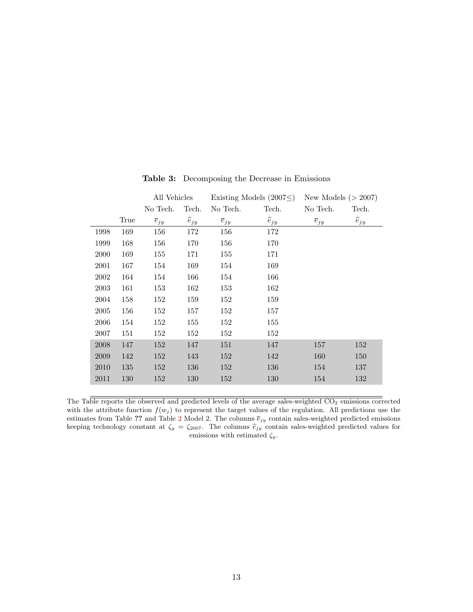<span id="page-13-0"></span>

|      |      | All Vehicles        |                    |                     | Existing Models $(2007\le)$ | New Models $(>2007)$ |                    |
|------|------|---------------------|--------------------|---------------------|-----------------------------|----------------------|--------------------|
|      |      | No Tech.            | Tech.              | No Tech.            | Tech.                       | No Tech.             | Tech.              |
|      | True | $\overline{e}_{jy}$ | $\widehat{e}_{jy}$ | $\overline{e}_{jy}$ | $\widehat{e}_{jy}$          | $\overline{e}_{jy}$  | $\widehat{e}_{jy}$ |
| 1998 | 169  | 156                 | 172                | 156                 | 172                         |                      |                    |
| 1999 | 168  | 156                 | 170                | 156                 | 170                         |                      |                    |
| 2000 | 169  | 155                 | 171                | 155                 | 171                         |                      |                    |
| 2001 | 167  | 154                 | 169                | 154                 | 169                         |                      |                    |
| 2002 | 164  | 154                 | 166                | 154                 | 166                         |                      |                    |
| 2003 | 161  | 153                 | 162                | 153                 | 162                         |                      |                    |
| 2004 | 158  | 152                 | 159                | 152                 | 159                         |                      |                    |
| 2005 | 156  | 152                 | 157                | 152                 | 157                         |                      |                    |
| 2006 | 154  | 152                 | 155                | 152                 | 155                         |                      |                    |
| 2007 | 151  | 152                 | 152                | 152                 | 152                         |                      |                    |
| 2008 | 147  | 152                 | 147                | 151                 | 147                         | 157                  | 152                |
| 2009 | 142  | 152                 | 143                | 152                 | 142                         | 160                  | <b>150</b>         |
| 2010 | 135  | 152                 | 136                | 152                 | 136                         | 154                  | 137                |
| 2011 | 130  | 152                 | 130                | 152                 | <b>130</b>                  | 154                  | 132                |
|      |      |                     |                    |                     |                             |                      |                    |

Table 3: Decomposing the Decrease in Emissions

The Table reports the observed and predicted levels of the average sales-weighted  $CO_2$  emissions corrected with the attribute function  $f(w_i)$  to represent the target values of the regulation. All predictions use the estimates from Table ?? and Table [2](#page-11-0) Model 2. The columns  $\bar{\epsilon}_{jy}$  contain sales-weighted predicted emissions keeping technology constant at  $\zeta_y = \zeta_{2007}$ . The columns  $\hat{\epsilon}_{jy}$  contain sales-weighted predicted values for emissions with estimated  $\zeta_y$ .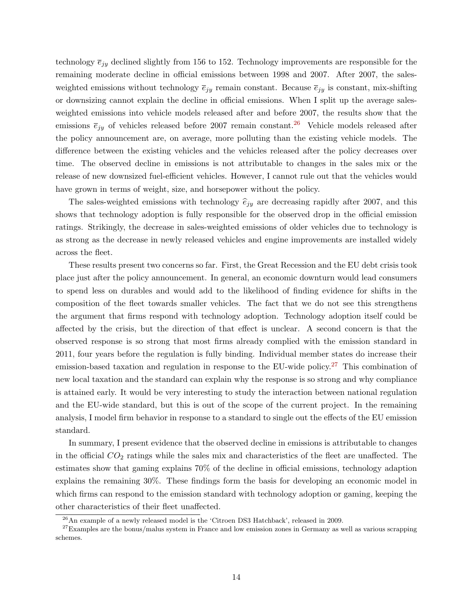technology  $\bar{e}_{jy}$  declined slightly from 156 to 152. Technology improvements are responsible for the remaining moderate decline in official emissions between 1998 and 2007. After 2007, the salesweighted emissions without technology  $\overline{e}_{jy}$  remain constant. Because  $\overline{e}_{jy}$  is constant, mix-shifting or downsizing cannot explain the decline in official emissions. When I split up the average salesweighted emissions into vehicle models released after and before 2007, the results show that the emissions  $\overline{e}_{jy}$  of vehicles released before 2007 remain constant.<sup>[26](#page-14-0)</sup> Vehicle models released after the policy announcement are, on average, more polluting than the existing vehicle models. The difference between the existing vehicles and the vehicles released after the policy decreases over time. The observed decline in emissions is not attributable to changes in the sales mix or the release of new downsized fuel-efficient vehicles. However, I cannot rule out that the vehicles would have grown in terms of weight, size, and horsepower without the policy.

The sales-weighted emissions with technology  $\hat{e}_{jy}$  are decreasing rapidly after 2007, and this shows that technology adoption is fully responsible for the observed drop in the official emission ratings. Strikingly, the decrease in sales-weighted emissions of older vehicles due to technology is as strong as the decrease in newly released vehicles and engine improvements are installed widely across the fleet.

These results present two concerns so far. First, the Great Recession and the EU debt crisis took place just after the policy announcement. In general, an economic downturn would lead consumers to spend less on durables and would add to the likelihood of finding evidence for shifts in the composition of the fleet towards smaller vehicles. The fact that we do not see this strengthens the argument that firms respond with technology adoption. Technology adoption itself could be affected by the crisis, but the direction of that effect is unclear. A second concern is that the observed response is so strong that most firms already complied with the emission standard in 2011, four years before the regulation is fully binding. Individual member states do increase their emission-based taxation and regulation in response to the EU-wide policy.<sup>[27](#page-14-1)</sup> This combination of new local taxation and the standard can explain why the response is so strong and why compliance is attained early. It would be very interesting to study the interaction between national regulation and the EU-wide standard, but this is out of the scope of the current project. In the remaining analysis, I model firm behavior in response to a standard to single out the effects of the EU emission standard.

In summary, I present evidence that the observed decline in emissions is attributable to changes in the official  $CO_2$  ratings while the sales mix and characteristics of the fleet are unaffected. The estimates show that gaming explains 70% of the decline in official emissions, technology adaption explains the remaining 30%. These findings form the basis for developing an economic model in which firms can respond to the emission standard with technology adoption or gaming, keeping the other characteristics of their fleet unaffected.

<span id="page-14-1"></span><span id="page-14-0"></span><sup>26</sup>An example of a newly released model is the 'Citroen DS3 Hatchback', released in 2009.

 $27$ Examples are the bonus/malus system in France and low emission zones in Germany as well as various scrapping schemes.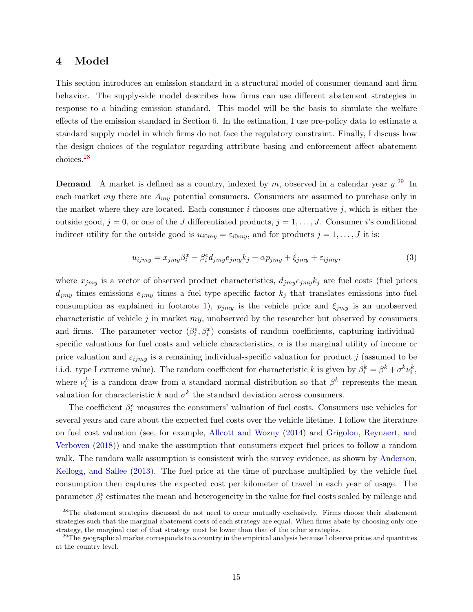## <span id="page-15-0"></span>4 Model

This section introduces an emission standard in a structural model of consumer demand and firm behavior. The supply-side model describes how firms can use different abatement strategies in response to a binding emission standard. This model will be the basis to simulate the welfare effects of the emission standard in Section [6.](#page-28-0) In the estimation, I use pre-policy data to estimate a standard supply model in which firms do not face the regulatory constraint. Finally, I discuss how the design choices of the regulator regarding attribute basing and enforcement affect abatement choices.[28](#page-15-1)

**Demand** A market is defined as a country, indexed by m, observed in a calendar year  $y^{29}$  $y^{29}$  $y^{29}$ . In each market my there are  $A_{my}$  potential consumers. Consumers are assumed to purchase only in the market where they are located. Each consumer i chooses one alternative j, which is either the outside good,  $j = 0$ , or one of the J differentiated products,  $j = 1, \ldots, J$ . Consumer i's conditional indirect utility for the outside good is  $u_{i0my} = \varepsilon_{i0my}$ , and for products  $j = 1, \ldots, J$  it is:

<span id="page-15-3"></span>
$$
u_{ijmy} = x_{jmy}\beta_i^x - \beta_i^e d_{jmy}e_{jmy}k_j - \alpha p_{jmy} + \xi_{jmy} + \varepsilon_{ijmy},\tag{3}
$$

where  $x_{jmy}$  is a vector of observed product characteristics,  $d_{jmy}e_{jmy}k_j$  are fuel costs (fuel prices  $d_{jmy}$  times emissions  $e_{jmy}$  times a fuel type specific factor  $k_j$  that translates emissions into fuel consumption as explained in footnote [1\)](#page-1-0),  $p_{jmy}$  is the vehicle price and  $\xi_{jmy}$  is an unobserved characteristic of vehicle  $j$  in market  $my$ , unobserved by the researcher but observed by consumers and firms. The parameter vector  $(\beta_i^e, \beta_i^x)$  consists of random coefficients, capturing individualspecific valuations for fuel costs and vehicle characteristics,  $\alpha$  is the marginal utility of income or price valuation and  $\varepsilon_{ijm\ell}$  is a remaining individual-specific valuation for product j (assumed to be i.i.d. type I extreme value). The random coefficient for characteristic k is given by  $\beta_i^k = \beta^k + \sigma^k \nu_i^k$ , where  $\nu_i^k$  is a random draw from a standard normal distribution so that  $\beta^k$  represents the mean valuation for characteristic k and  $\sigma^k$  the standard deviation across consumers.

The coefficient  $\beta_i^e$  measures the consumers' valuation of fuel costs. Consumers use vehicles for several years and care about the expected fuel costs over the vehicle lifetime. I follow the literature on fuel cost valuation (see, for example, [Allcott and Wozny](#page-38-0) [\(2014\)](#page-38-0) and [Grigolon, Reynaert, and](#page-40-7) [Verboven](#page-40-7) [\(2018\)](#page-40-7)) and make the assumption that consumers expect fuel prices to follow a random walk. The random walk assumption is consistent with the survey evidence, as shown by [Anderson,](#page-38-1) [Kellogg, and Sallee](#page-38-1) [\(2013\)](#page-38-1). The fuel price at the time of purchase multiplied by the vehicle fuel consumption then captures the expected cost per kilometer of travel in each year of usage. The parameter  $\beta_i^e$  estimates the mean and heterogeneity in the value for fuel costs scaled by mileage and

<span id="page-15-1"></span><sup>&</sup>lt;sup>28</sup>The abatement strategies discussed do not need to occur mutually exclusively. Firms choose their abatement strategies such that the marginal abatement costs of each strategy are equal. When firms abate by choosing only one strategy, the marginal cost of that strategy must be lower than that of the other strategies.

<span id="page-15-2"></span> $29$ The geographical market corresponds to a country in the empirical analysis because I observe prices and quantities at the country level.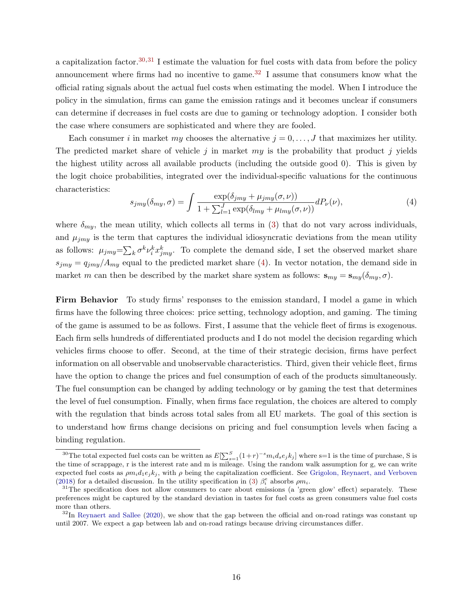a capitalization factor.<sup>[30](#page-16-0)[,31](#page-16-1)</sup> I estimate the valuation for fuel costs with data from before the policy announcement where firms had no incentive to game.<sup>[32](#page-16-2)</sup> I assume that consumers know what the official rating signals about the actual fuel costs when estimating the model. When I introduce the policy in the simulation, firms can game the emission ratings and it becomes unclear if consumers can determine if decreases in fuel costs are due to gaming or technology adoption. I consider both the case where consumers are sophisticated and where they are fooled.

Each consumer i in market my chooses the alternative  $j = 0, \ldots, J$  that maximizes her utility. The predicted market share of vehicle  $j$  in market  $my$  is the probability that product  $j$  yields the highest utility across all available products (including the outside good 0). This is given by the logit choice probabilities, integrated over the individual-specific valuations for the continuous characteristics:

<span id="page-16-3"></span>
$$
s_{jmy}(\delta_{my}, \sigma) = \int \frac{\exp(\delta_{jmy} + \mu_{jmy}(\sigma, \nu))}{1 + \sum_{l=1}^{J} \exp(\delta_{lmy} + \mu_{lmy}(\sigma, \nu))} dP_{\nu}(\nu), \tag{4}
$$

where  $\delta_{m\nu}$ , the mean utility, which collects all terms in [\(3\)](#page-15-3) that do not vary across individuals, and  $\mu_{imy}$  is the term that captures the individual idiosyncratic deviations from the mean utility as follows:  $\mu_{jmy} = \sum_{k} \sigma^k \nu_i^k x_{jmy}^k$ . To complete the demand side, I set the observed market share  $s_{jmy} = q_{jmy}/A_{my}$  equal to the predicted market share [\(4\)](#page-16-3). In vector notation, the demand side in market m can then be described by the market share system as follows:  $\mathbf{s}_{my} = \mathbf{s}_{my}(\delta_{my}, \sigma)$ .

Firm Behavior To study firms' responses to the emission standard, I model a game in which firms have the following three choices: price setting, technology adoption, and gaming. The timing of the game is assumed to be as follows. First, I assume that the vehicle fleet of firms is exogenous. Each firm sells hundreds of differentiated products and I do not model the decision regarding which vehicles firms choose to offer. Second, at the time of their strategic decision, firms have perfect information on all observable and unobservable characteristics. Third, given their vehicle fleet, firms have the option to change the prices and fuel consumption of each of the products simultaneously. The fuel consumption can be changed by adding technology or by gaming the test that determines the level of fuel consumption. Finally, when firms face regulation, the choices are altered to comply with the regulation that binds across total sales from all EU markets. The goal of this section is to understand how firms change decisions on pricing and fuel consumption levels when facing a binding regulation.

<span id="page-16-0"></span><sup>&</sup>lt;sup>30</sup>The total expected fuel costs can be written as  $E[\sum_{s=1}^{S} (1+r)^{-s} m_i d_s e_j k_j]$  where s=1 is the time of purchase, S is the time of scrappage, r is the interest rate and m is mileage. Using the random walk assumption for g, we can write expected fuel costs as  $\rho m_i d_1 e_j k_j$ , with  $\rho$  being the capitalization coefficient. See [Grigolon, Reynaert, and Verboven](#page-40-7) [\(2018\)](#page-40-7) for a detailed discussion. In the utility specification in [\(3\)](#page-15-3)  $\beta_i^e$  absorbs  $\rho m_i$ .

<span id="page-16-1"></span><sup>&</sup>lt;sup>31</sup>The specification does not allow consumers to care about emissions (a 'green glow' effect) separately. These preferences might be captured by the standard deviation in tastes for fuel costs as green consumers value fuel costs more than others.

<span id="page-16-2"></span> $32$ In [Reynaert and Sallee](#page-42-0) [\(2020\)](#page-42-0), we show that the gap between the official and on-road ratings was constant up until 2007. We expect a gap between lab and on-road ratings because driving circumstances differ.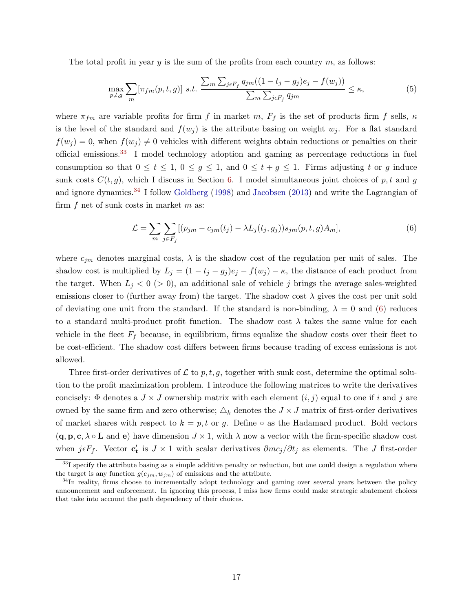The total profit in year y is the sum of the profits from each country  $m$ , as follows:

$$
\max_{p,t,g} \sum_{m} [\pi_{fm}(p,t,g)] \ s.t. \ \frac{\sum_{m} \sum_{j \in F_f} q_{jm}((1-t_j-g_j)e_j - f(w_j))}{\sum_{m} \sum_{j \in F_f} q_{jm}} \leq \kappa,
$$
\n(5)

where  $\pi_{fm}$  are variable profits for firm f in market m,  $F_f$  is the set of products firm f sells,  $\kappa$ is the level of the standard and  $f(w_i)$  is the attribute basing on weight  $w_i$ . For a flat standard  $f(w_i) = 0$ , when  $f(w_i) \neq 0$  vehicles with different weights obtain reductions or penalties on their official emissions.[33](#page-17-0) I model technology adoption and gaming as percentage reductions in fuel consumption so that  $0 \le t \le 1$ ,  $0 \le g \le 1$ , and  $0 \le t + g \le 1$ . Firms adjusting t or g induce sunk costs  $C(t, g)$ , which I discuss in Section [6.](#page-36-0) I model simultaneous joint choices of p, t and g and ignore dynamics.<sup>[34](#page-17-1)</sup> I follow [Goldberg](#page-40-4) [\(1998\)](#page-40-4) and [Jacobsen](#page-41-3) [\(2013\)](#page-41-3) and write the Lagrangian of firm  $f$  net of sunk costs in market  $m$  as:

<span id="page-17-2"></span>
$$
\mathcal{L} = \sum_{m} \sum_{j \in F_f} [(p_{jm} - c_{jm}(t_j) - \lambda L_j(t_j, g_j))s_{jm}(p, t, g)A_m],
$$
\n(6)

where  $c_{jm}$  denotes marginal costs,  $\lambda$  is the shadow cost of the regulation per unit of sales. The shadow cost is multiplied by  $L_j = (1 - t_j - g_j)e_j - f(w_j) - \kappa$ , the distance of each product from the target. When  $L_j < 0$  ( $> 0$ ), an additional sale of vehicle j brings the average sales-weighted emissions closer to (further away from) the target. The shadow cost  $\lambda$  gives the cost per unit sold of deviating one unit from the standard. If the standard is non-binding,  $\lambda = 0$  and [\(6\)](#page-17-2) reduces to a standard multi-product profit function. The shadow cost  $\lambda$  takes the same value for each vehicle in the fleet  $F_f$  because, in equilibrium, firms equalize the shadow costs over their fleet to be cost-efficient. The shadow cost differs between firms because trading of excess emissions is not allowed.

Three first-order derivatives of  $\mathcal L$  to  $p, t, g$ , together with sunk cost, determine the optimal solution to the profit maximization problem. I introduce the following matrices to write the derivatives concisely:  $\Phi$  denotes a  $J \times J$  ownership matrix with each element  $(i, j)$  equal to one if i and j are owned by the same firm and zero otherwise;  $\Delta_k$  denotes the  $J \times J$  matrix of first-order derivatives of market shares with respect to  $k = p, t$  or g. Define  $\circ$  as the Hadamard product. Bold vectors  $(q, p, c, \lambda \circ L \text{ and } e)$  have dimension  $J \times 1$ , with  $\lambda$  now a vector with the firm-specific shadow cost when  $j \epsilon F_f$ . Vector  $\mathbf{c}'_t$  is  $J \times 1$  with scalar derivatives  $\partial m c_j / \partial t_j$  as elements. The J first-order

<span id="page-17-0"></span><sup>&</sup>lt;sup>33</sup>I specify the attribute basing as a simple additive penalty or reduction, but one could design a regulation where the target is any function  $g(e_{jm}, w_{jm})$  of emissions and the attribute.

<span id="page-17-1"></span><sup>&</sup>lt;sup>34</sup>In reality, firms choose to incrementally adopt technology and gaming over several years between the policy announcement and enforcement. In ignoring this process, I miss how firms could make strategic abatement choices that take into account the path dependency of their choices.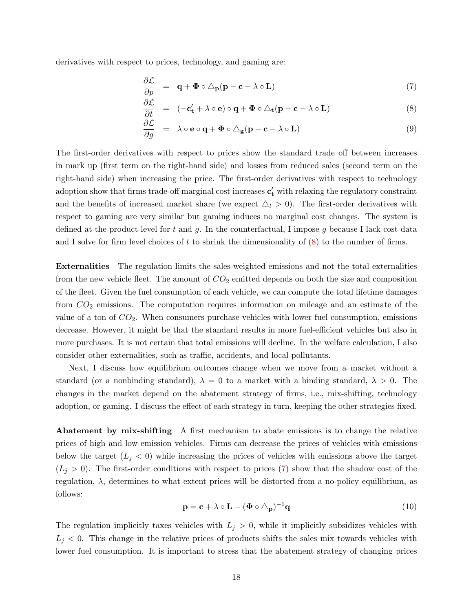derivatives with respect to prices, technology, and gaming are:

<span id="page-18-0"></span>
$$
\frac{\partial \mathcal{L}}{\partial p} = \mathbf{q} + \mathbf{\Phi} \circ \triangle_{\mathbf{p}} (\mathbf{p} - \mathbf{c} - \lambda \circ \mathbf{L}) \tag{7}
$$

$$
\frac{\partial \mathcal{L}}{\partial t} = (-\mathbf{c}'_t + \lambda \circ \mathbf{e}) \circ \mathbf{q} + \Phi \circ \triangle_t (\mathbf{p} - \mathbf{c} - \lambda \circ \mathbf{L}) \tag{8}
$$

$$
\frac{\partial \mathcal{L}}{\partial g} = \lambda \circ \mathbf{e} \circ \mathbf{q} + \Phi \circ \triangle_{\mathbf{g}} (\mathbf{p} - \mathbf{c} - \lambda \circ \mathbf{L}) \tag{9}
$$

The first-order derivatives with respect to prices show the standard trade off between increases in mark up (first term on the right-hand side) and losses from reduced sales (second term on the right-hand side) when increasing the price. The first-order derivatives with respect to technology adoption show that firms trade-off marginal cost increases  $\mathbf{c}'_t$  with relaxing the regulatory constraint and the benefits of increased market share (we expect  $\Delta_t > 0$ ). The first-order derivatives with respect to gaming are very similar but gaming induces no marginal cost changes. The system is defined at the product level for t and g. In the counterfactual, I impose g because I lack cost data and I solve for firm level choices of  $t$  to shrink the dimensionality of  $(8)$  to the number of firms.

Externalities The regulation limits the sales-weighted emissions and not the total externalities from the new vehicle fleet. The amount of  $CO<sub>2</sub>$  emitted depends on both the size and composition of the fleet. Given the fuel consumption of each vehicle, we can compute the total lifetime damages from  $CO<sub>2</sub>$  emissions. The computation requires information on mileage and an estimate of the value of a ton of  $CO<sub>2</sub>$ . When consumers purchase vehicles with lower fuel consumption, emissions decrease. However, it might be that the standard results in more fuel-efficient vehicles but also in more purchases. It is not certain that total emissions will decline. In the welfare calculation, I also consider other externalities, such as traffic, accidents, and local pollutants.

Next, I discuss how equilibrium outcomes change when we move from a market without a standard (or a nonbinding standard),  $\lambda = 0$  to a market with a binding standard,  $\lambda > 0$ . The changes in the market depend on the abatement strategy of firms, i.e., mix-shifting, technology adoption, or gaming. I discuss the effect of each strategy in turn, keeping the other strategies fixed.

Abatement by mix-shifting A first mechanism to abate emissions is to change the relative prices of high and low emission vehicles. Firms can decrease the prices of vehicles with emissions below the target  $(L_j < 0)$  while increasing the prices of vehicles with emissions above the target  $(L_j > 0)$ . The first-order conditions with respect to prices [\(7\)](#page-18-0) show that the shadow cost of the regulation,  $\lambda$ , determines to what extent prices will be distorted from a no-policy equilibrium, as follows:

$$
\mathbf{p} = \mathbf{c} + \lambda \circ \mathbf{L} - (\mathbf{\Phi} \circ \Delta_{\mathbf{p}})^{-1} \mathbf{q}
$$
 (10)

The regulation implicitly taxes vehicles with  $L_j > 0$ , while it implicitly subsidizes vehicles with  $L_j < 0$ . This change in the relative prices of products shifts the sales mix towards vehicles with lower fuel consumption. It is important to stress that the abatement strategy of changing prices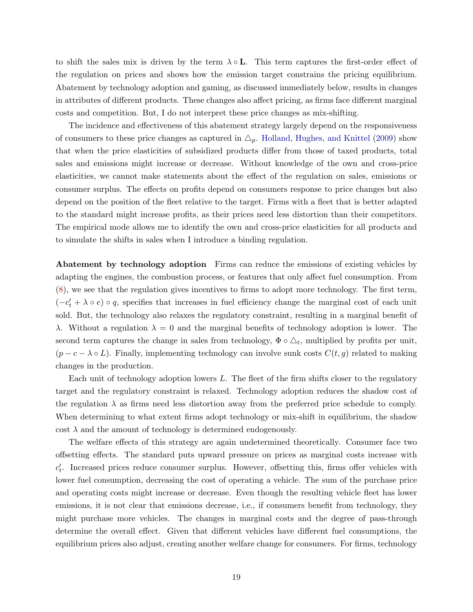to shift the sales mix is driven by the term  $\lambda \circ L$ . This term captures the first-order effect of the regulation on prices and shows how the emission target constrains the pricing equilibrium. Abatement by technology adoption and gaming, as discussed immediately below, results in changes in attributes of different products. These changes also affect pricing, as firms face different marginal costs and competition. But, I do not interpret these price changes as mix-shifting.

The incidence and effectiveness of this abatement strategy largely depend on the responsiveness of consumers to these price changes as captured in  $\Delta_p$ . [Holland, Hughes, and Knittel](#page-41-4) [\(2009\)](#page-41-4) show that when the price elasticities of subsidized products differ from those of taxed products, total sales and emissions might increase or decrease. Without knowledge of the own and cross-price elasticities, we cannot make statements about the effect of the regulation on sales, emissions or consumer surplus. The effects on profits depend on consumers response to price changes but also depend on the position of the fleet relative to the target. Firms with a fleet that is better adapted to the standard might increase profits, as their prices need less distortion than their competitors. The empirical mode allows me to identify the own and cross-price elasticities for all products and to simulate the shifts in sales when I introduce a binding regulation.

Abatement by technology adoption Firms can reduce the emissions of existing vehicles by adapting the engines, the combustion process, or features that only affect fuel consumption. From [\(8\)](#page-18-0), we see that the regulation gives incentives to firms to adopt more technology. The first term,  $(-c_t' + \lambda \circ e) \circ q$ , specifies that increases in fuel efficiency change the marginal cost of each unit sold. But, the technology also relaxes the regulatory constraint, resulting in a marginal benefit of λ. Without a regulation  $\lambda = 0$  and the marginal benefits of technology adoption is lower. The second term captures the change in sales from technology,  $\Phi \circ \Delta_t$ , multiplied by profits per unit,  $(p - c - \lambda \circ L)$ . Finally, implementing technology can involve sunk costs  $C(t, g)$  related to making changes in the production.

Each unit of technology adoption lowers  $L$ . The fleet of the firm shifts closer to the regulatory target and the regulatory constraint is relaxed. Technology adoption reduces the shadow cost of the regulation  $\lambda$  as firms need less distortion away from the preferred price schedule to comply. When determining to what extent firms adopt technology or mix-shift in equilibrium, the shadow cost  $\lambda$  and the amount of technology is determined endogenously.

The welfare effects of this strategy are again undetermined theoretically. Consumer face two offsetting effects. The standard puts upward pressure on prices as marginal costs increase with  $c_t'$ . Increased prices reduce consumer surplus. However, offsetting this, firms offer vehicles with lower fuel consumption, decreasing the cost of operating a vehicle. The sum of the purchase price and operating costs might increase or decrease. Even though the resulting vehicle fleet has lower emissions, it is not clear that emissions decrease, i.e., if consumers benefit from technology, they might purchase more vehicles. The changes in marginal costs and the degree of pass-through determine the overall effect. Given that different vehicles have different fuel consumptions, the equilibrium prices also adjust, creating another welfare change for consumers. For firms, technology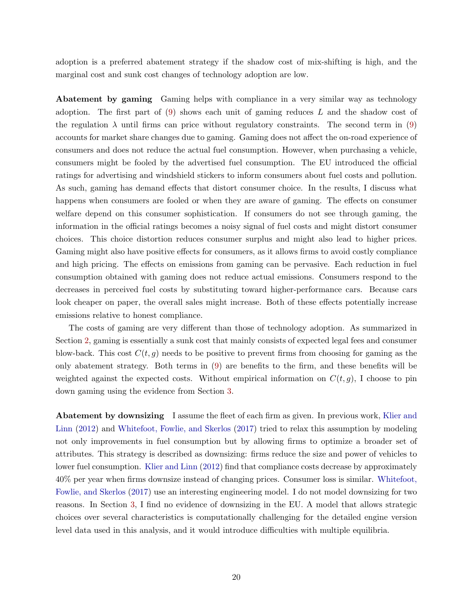adoption is a preferred abatement strategy if the shadow cost of mix-shifting is high, and the marginal cost and sunk cost changes of technology adoption are low.

Abatement by gaming Gaming helps with compliance in a very similar way as technology adoption. The first part of  $(9)$  shows each unit of gaming reduces L and the shadow cost of the regulation  $\lambda$  until firms can price without regulatory constraints. The second term in [\(9\)](#page-18-0) accounts for market share changes due to gaming. Gaming does not affect the on-road experience of consumers and does not reduce the actual fuel consumption. However, when purchasing a vehicle, consumers might be fooled by the advertised fuel consumption. The EU introduced the official ratings for advertising and windshield stickers to inform consumers about fuel costs and pollution. As such, gaming has demand effects that distort consumer choice. In the results, I discuss what happens when consumers are fooled or when they are aware of gaming. The effects on consumer welfare depend on this consumer sophistication. If consumers do not see through gaming, the information in the official ratings becomes a noisy signal of fuel costs and might distort consumer choices. This choice distortion reduces consumer surplus and might also lead to higher prices. Gaming might also have positive effects for consumers, as it allows firms to avoid costly compliance and high pricing. The effects on emissions from gaming can be pervasive. Each reduction in fuel consumption obtained with gaming does not reduce actual emissions. Consumers respond to the decreases in perceived fuel costs by substituting toward higher-performance cars. Because cars look cheaper on paper, the overall sales might increase. Both of these effects potentially increase emissions relative to honest compliance.

The costs of gaming are very different than those of technology adoption. As summarized in Section [2,](#page-5-1) gaming is essentially a sunk cost that mainly consists of expected legal fees and consumer blow-back. This cost  $C(t, g)$  needs to be positive to prevent firms from choosing for gaming as the only abatement strategy. Both terms in [\(9\)](#page-18-0) are benefits to the firm, and these benefits will be weighted against the expected costs. Without empirical information on  $C(t, g)$ , I choose to pin down gaming using the evidence from Section [3.](#page-10-0)

Abatement by downsizing I assume the fleet of each firm as given. In previous work, [Klier and](#page-41-5) [Linn](#page-41-5) [\(2012\)](#page-41-5) and [Whitefoot, Fowlie, and Skerlos](#page-42-2) [\(2017\)](#page-42-2) tried to relax this assumption by modeling not only improvements in fuel consumption but by allowing firms to optimize a broader set of attributes. This strategy is described as downsizing: firms reduce the size and power of vehicles to lower fuel consumption. [Klier and Linn](#page-41-5) [\(2012\)](#page-41-5) find that compliance costs decrease by approximately 40% per year when firms downsize instead of changing prices. Consumer loss is similar. [Whitefoot,](#page-42-2) [Fowlie, and Skerlos](#page-42-2) [\(2017\)](#page-42-2) use an interesting engineering model. I do not model downsizing for two reasons. In Section [3,](#page-10-0) I find no evidence of downsizing in the EU. A model that allows strategic choices over several characteristics is computationally challenging for the detailed engine version level data used in this analysis, and it would introduce difficulties with multiple equilibria.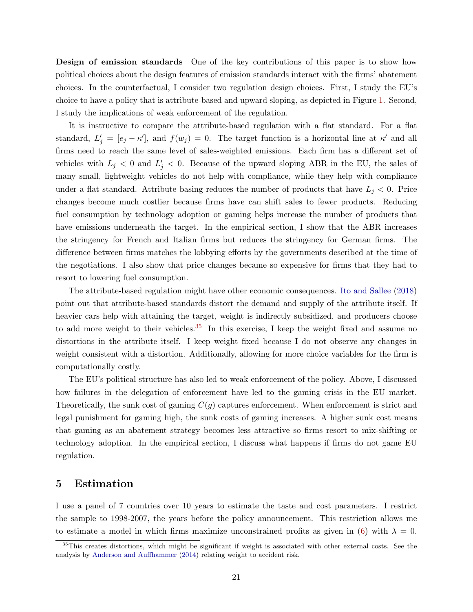Design of emission standards One of the key contributions of this paper is to show how political choices about the design features of emission standards interact with the firms' abatement choices. In the counterfactual, I consider two regulation design choices. First, I study the EU's choice to have a policy that is attribute-based and upward sloping, as depicted in Figure [1.](#page-6-2) Second, I study the implications of weak enforcement of the regulation.

It is instructive to compare the attribute-based regulation with a flat standard. For a flat standard,  $L'_j = [e_j - \kappa']$ , and  $f(w_j) = 0$ . The target function is a horizontal line at  $\kappa'$  and all firms need to reach the same level of sales-weighted emissions. Each firm has a different set of vehicles with  $L_j < 0$  and  $L'_j < 0$ . Because of the upward sloping ABR in the EU, the sales of many small, lightweight vehicles do not help with compliance, while they help with compliance under a flat standard. Attribute basing reduces the number of products that have  $L_j < 0$ . Price changes become much costlier because firms have can shift sales to fewer products. Reducing fuel consumption by technology adoption or gaming helps increase the number of products that have emissions underneath the target. In the empirical section, I show that the ABR increases the stringency for French and Italian firms but reduces the stringency for German firms. The difference between firms matches the lobbying efforts by the governments described at the time of the negotiations. I also show that price changes became so expensive for firms that they had to resort to lowering fuel consumption.

The attribute-based regulation might have other economic consequences. [Ito and Sallee](#page-41-6) [\(2018\)](#page-41-6) point out that attribute-based standards distort the demand and supply of the attribute itself. If heavier cars help with attaining the target, weight is indirectly subsidized, and producers choose to add more weight to their vehicles.<sup>[35](#page-21-1)</sup> In this exercise, I keep the weight fixed and assume no distortions in the attribute itself. I keep weight fixed because I do not observe any changes in weight consistent with a distortion. Additionally, allowing for more choice variables for the firm is computationally costly.

The EU's political structure has also led to weak enforcement of the policy. Above, I discussed how failures in the delegation of enforcement have led to the gaming crisis in the EU market. Theoretically, the sunk cost of gaming  $C(q)$  captures enforcement. When enforcement is strict and legal punishment for gaming high, the sunk costs of gaming increases. A higher sunk cost means that gaming as an abatement strategy becomes less attractive so firms resort to mix-shifting or technology adoption. In the empirical section, I discuss what happens if firms do not game EU regulation.

# <span id="page-21-0"></span>5 Estimation

I use a panel of 7 countries over 10 years to estimate the taste and cost parameters. I restrict the sample to 1998-2007, the years before the policy announcement. This restriction allows me to estimate a model in which firms maximize unconstrained profits as given in [\(6\)](#page-17-2) with  $\lambda = 0$ .

<span id="page-21-1"></span><sup>&</sup>lt;sup>35</sup>This creates distortions, which might be significant if weight is associated with other external costs. See the analysis by [Anderson and Auffhammer](#page-38-2) [\(2014\)](#page-38-2) relating weight to accident risk.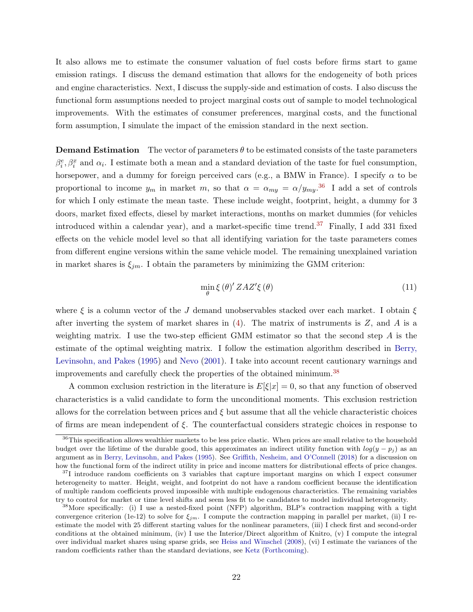It also allows me to estimate the consumer valuation of fuel costs before firms start to game emission ratings. I discuss the demand estimation that allows for the endogeneity of both prices and engine characteristics. Next, I discuss the supply-side and estimation of costs. I also discuss the functional form assumptions needed to project marginal costs out of sample to model technological improvements. With the estimates of consumer preferences, marginal costs, and the functional form assumption, I simulate the impact of the emission standard in the next section.

**Demand Estimation** The vector of parameters  $\theta$  to be estimated consists of the taste parameters  $\beta_i^e, \beta_i^x$  and  $\alpha_i$ . I estimate both a mean and a standard deviation of the taste for fuel consumption, horsepower, and a dummy for foreign perceived cars (e.g., a BMW in France). I specify  $\alpha$  to be proportional to income  $y_m$  in market m, so that  $\alpha = \alpha_{my} = \alpha/y_{my}^{36}$  $\alpha = \alpha_{my} = \alpha/y_{my}^{36}$  $\alpha = \alpha_{my} = \alpha/y_{my}^{36}$ . I add a set of controls for which I only estimate the mean taste. These include weight, footprint, height, a dummy for 3 doors, market fixed effects, diesel by market interactions, months on market dummies (for vehicles introduced within a calendar year), and a market-specific time trend.[37](#page-22-1) Finally, I add 331 fixed effects on the vehicle model level so that all identifying variation for the taste parameters comes from different engine versions within the same vehicle model. The remaining unexplained variation in market shares is  $\xi_{jm}$ . I obtain the parameters by minimizing the GMM criterion:

$$
\min_{\theta} \xi(\theta)' Z A Z' \xi(\theta) \tag{11}
$$

where  $\xi$  is a column vector of the J demand unobservables stacked over each market. I obtain  $\xi$ after inverting the system of market shares in  $(4)$ . The matrix of instruments is Z, and A is a weighting matrix. I use the two-step efficient GMM estimator so that the second step  $A$  is the estimate of the optimal weighting matrix. I follow the estimation algorithm described in [Berry,](#page-39-0) [Levinsohn, and Pakes](#page-39-0) [\(1995\)](#page-39-0) and [Nevo](#page-41-9) [\(2001\)](#page-41-9). I take into account recent cautionary warnings and improvements and carefully check the properties of the obtained minimum.[38](#page-22-2)

A common exclusion restriction in the literature is  $E[\xi|x] = 0$ , so that any function of observed characteristics is a valid candidate to form the unconditional moments. This exclusion restriction allows for the correlation between prices and  $\xi$  but assume that all the vehicle characteristic choices of firms are mean independent of ξ. The counterfactual considers strategic choices in response to

<span id="page-22-0"></span><sup>&</sup>lt;sup>36</sup>This specification allows wealthier markets to be less price elastic. When prices are small relative to the household budget over the lifetime of the durable good, this approximates an indirect utility function with  $log(y - p_i)$  as an argument as in [Berry, Levinsohn, and Pakes](#page-39-0) [\(1995\)](#page-39-0). See [Griffith, Nesheim, and O'Connell](#page-40-8) [\(2018\)](#page-40-8) for a discussion on how the functional form of the indirect utility in price and income matters for distributional effects of price changes.

<span id="page-22-1"></span> $37I$  introduce random coefficients on 3 variables that capture important margins on which I expect consumer heterogeneity to matter. Height, weight, and footprint do not have a random coefficient because the identification of multiple random coefficients proved impossible with multiple endogenous characteristics. The remaining variables try to control for market or time level shifts and seem less fit to be candidates to model individual heterogeneity.

<span id="page-22-2"></span><sup>38</sup>More specifically: (i) I use a nested-fixed point (NFP) algorithm, BLP's contraction mapping with a tight convergence criterion (1e-12) to solve for  $\xi_{jm}$ . I compute the contraction mapping in parallel per market, (ii) I reestimate the model with 25 different starting values for the nonlinear parameters, (iii) I check first and second-order conditions at the obtained minimum, (iv) I use the Interior/Direct algorithm of Knitro, (v) I compute the integral over individual market shares using sparse grids, see [Heiss and Winschel](#page-40-9) [\(2008\)](#page-40-9), (vi) I estimate the variances of the random coefficients rather than the standard deviations, see [Ketz](#page-41-10) [\(Forthcoming\)](#page-41-10).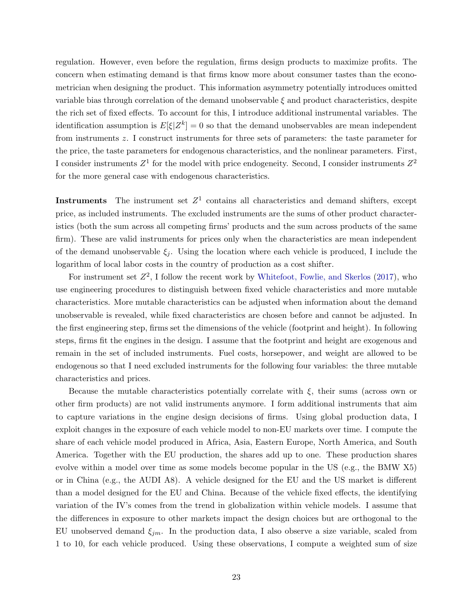regulation. However, even before the regulation, firms design products to maximize profits. The concern when estimating demand is that firms know more about consumer tastes than the econometrician when designing the product. This information asymmetry potentially introduces omitted variable bias through correlation of the demand unobservable  $\xi$  and product characteristics, despite the rich set of fixed effects. To account for this, I introduce additional instrumental variables. The identification assumption is  $E[\xi|Z^k] = 0$  so that the demand unobservables are mean independent from instruments z. I construct instruments for three sets of parameters: the taste parameter for the price, the taste parameters for endogenous characteristics, and the nonlinear parameters. First, I consider instruments  $Z^1$  for the model with price endogeneity. Second, I consider instruments  $Z^2$ for the more general case with endogenous characteristics.

Instruments The instrument set  $Z^1$  contains all characteristics and demand shifters, except price, as included instruments. The excluded instruments are the sums of other product characteristics (both the sum across all competing firms' products and the sum across products of the same firm). These are valid instruments for prices only when the characteristics are mean independent of the demand unobservable  $\xi_i$ . Using the location where each vehicle is produced, I include the logarithm of local labor costs in the country of production as a cost shifter.

For instrument set  $Z^2$ , I follow the recent work by [Whitefoot, Fowlie, and Skerlos](#page-42-2) [\(2017\)](#page-42-2), who use engineering procedures to distinguish between fixed vehicle characteristics and more mutable characteristics. More mutable characteristics can be adjusted when information about the demand unobservable is revealed, while fixed characteristics are chosen before and cannot be adjusted. In the first engineering step, firms set the dimensions of the vehicle (footprint and height). In following steps, firms fit the engines in the design. I assume that the footprint and height are exogenous and remain in the set of included instruments. Fuel costs, horsepower, and weight are allowed to be endogenous so that I need excluded instruments for the following four variables: the three mutable characteristics and prices.

Because the mutable characteristics potentially correlate with  $\xi$ , their sums (across own or other firm products) are not valid instruments anymore. I form additional instruments that aim to capture variations in the engine design decisions of firms. Using global production data, I exploit changes in the exposure of each vehicle model to non-EU markets over time. I compute the share of each vehicle model produced in Africa, Asia, Eastern Europe, North America, and South America. Together with the EU production, the shares add up to one. These production shares evolve within a model over time as some models become popular in the US (e.g., the BMW X5) or in China (e.g., the AUDI A8). A vehicle designed for the EU and the US market is different than a model designed for the EU and China. Because of the vehicle fixed effects, the identifying variation of the IV's comes from the trend in globalization within vehicle models. I assume that the differences in exposure to other markets impact the design choices but are orthogonal to the EU unobserved demand  $\xi_{jm}$ . In the production data, I also observe a size variable, scaled from 1 to 10, for each vehicle produced. Using these observations, I compute a weighted sum of size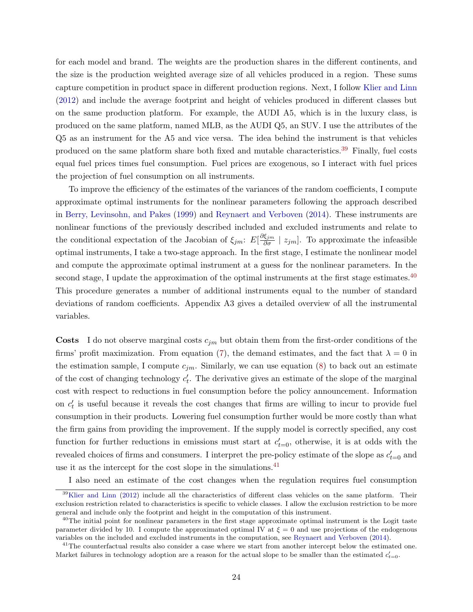for each model and brand. The weights are the production shares in the different continents, and the size is the production weighted average size of all vehicles produced in a region. These sums capture competition in product space in different production regions. Next, I follow [Klier and Linn](#page-41-5) [\(2012\)](#page-41-5) and include the average footprint and height of vehicles produced in different classes but on the same production platform. For example, the AUDI A5, which is in the luxury class, is produced on the same platform, named MLB, as the AUDI Q5, an SUV. I use the attributes of the Q5 as an instrument for the A5 and vice versa. The idea behind the instrument is that vehicles produced on the same platform share both fixed and mutable characteristics.<sup>[39](#page-24-0)</sup> Finally, fuel costs equal fuel prices times fuel consumption. Fuel prices are exogenous, so I interact with fuel prices the projection of fuel consumption on all instruments.

To improve the efficiency of the estimates of the variances of the random coefficients, I compute approximate optimal instruments for the nonlinear parameters following the approach described in [Berry, Levinsohn, and Pakes](#page-39-10) [\(1999\)](#page-39-10) and [Reynaert and Verboven](#page-42-7) [\(2014\)](#page-42-7). These instruments are nonlinear functions of the previously described included and excluded instruments and relate to the conditional expectation of the Jacobian of  $\xi_{jm}$ :  $E[\frac{\partial \xi_{jm}}{\partial \sigma} | z_{jm}]$ . To approximate the infeasible optimal instruments, I take a two-stage approach. In the first stage, I estimate the nonlinear model and compute the approximate optimal instrument at a guess for the nonlinear parameters. In the second stage, I update the approximation of the optimal instruments at the first stage estimates.<sup>[40](#page-24-1)</sup> This procedure generates a number of additional instruments equal to the number of standard deviations of random coefficients. Appendix A3 gives a detailed overview of all the instrumental variables.

**Costs** I do not observe marginal costs  $c_{im}$  but obtain them from the first-order conditions of the firms' profit maximization. From equation [\(7\)](#page-18-0), the demand estimates, and the fact that  $\lambda = 0$  in the estimation sample, I compute  $c_{im}$ . Similarly, we can use equation [\(8\)](#page-18-0) to back out an estimate of the cost of changing technology  $c_t'$ . The derivative gives an estimate of the slope of the marginal cost with respect to reductions in fuel consumption before the policy announcement. Information on  $c_t$  is useful because it reveals the cost changes that firms are willing to incur to provide fuel consumption in their products. Lowering fuel consumption further would be more costly than what the firm gains from providing the improvement. If the supply model is correctly specified, any cost function for further reductions in emissions must start at  $c'_{t=0}$ , otherwise, it is at odds with the revealed choices of firms and consumers. I interpret the pre-policy estimate of the slope as  $c'_{t=0}$  and use it as the intercept for the cost slope in the simulations.<sup>[41](#page-24-2)</sup>

<span id="page-24-0"></span>I also need an estimate of the cost changes when the regulation requires fuel consumption

<sup>&</sup>lt;sup>39</sup>[Klier and Linn](#page-41-5) [\(2012\)](#page-41-5) include all the characteristics of different class vehicles on the same platform. Their exclusion restriction related to characteristics is specific to vehicle classes. I allow the exclusion restriction to be more general and include only the footprint and height in the computation of this instrument.

<span id="page-24-1"></span><sup>&</sup>lt;sup>40</sup>The initial point for nonlinear parameters in the first stage approximate optimal instrument is the Logit taste parameter divided by 10. I compute the approximated optimal IV at  $\xi = 0$  and use projections of the endogenous variables on the included and excluded instruments in the computation, see [Reynaert and Verboven](#page-42-7) [\(2014\)](#page-42-7).

<span id="page-24-2"></span><sup>&</sup>lt;sup>41</sup>The counterfactual results also consider a case where we start from another intercept below the estimated one. Market failures in technology adoption are a reason for the actual slope to be smaller than the estimated  $c'_{t=0}$ .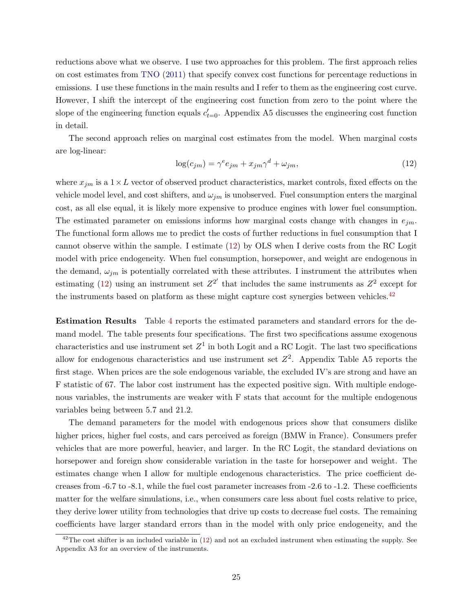reductions above what we observe. I use two approaches for this problem. The first approach relies on cost estimates from [TNO](#page-42-1) [\(2011\)](#page-42-1) that specify convex cost functions for percentage reductions in emissions. I use these functions in the main results and I refer to them as the engineering cost curve. However, I shift the intercept of the engineering cost function from zero to the point where the slope of the engineering function equals  $c'_{t=0}$ . Appendix A5 discusses the engineering cost function in detail.

The second approach relies on marginal cost estimates from the model. When marginal costs are log-linear:

<span id="page-25-0"></span>
$$
\log(c_{jm}) = \gamma^e e_{jm} + x_{jm}\gamma^d + \omega_{jm},\tag{12}
$$

where  $x_{jm}$  is a  $1 \times L$  vector of observed product characteristics, market controls, fixed effects on the vehicle model level, and cost shifters, and  $\omega_{im}$  is unobserved. Fuel consumption enters the marginal cost, as all else equal, it is likely more expensive to produce engines with lower fuel consumption. The estimated parameter on emissions informs how marginal costs change with changes in  $e_{im}$ . The functional form allows me to predict the costs of further reductions in fuel consumption that I cannot observe within the sample. I estimate [\(12\)](#page-25-0) by OLS when I derive costs from the RC Logit model with price endogeneity. When fuel consumption, horsepower, and weight are endogenous in the demand,  $\omega_{jm}$  is potentially correlated with these attributes. I instrument the attributes when estimating [\(12\)](#page-25-0) using an instrument set  $Z^{2'}$  that includes the same instruments as  $Z^2$  except for the instruments based on platform as these might capture cost synergies between vehicles. $^{42}$  $^{42}$  $^{42}$ 

Estimation Results Table [4](#page-26-0) reports the estimated parameters and standard errors for the demand model. The table presents four specifications. The first two specifications assume exogenous characteristics and use instrument set  $Z^1$  in both Logit and a RC Logit. The last two specifications allow for endogenous characteristics and use instrument set  $Z^2$ . Appendix Table A5 reports the first stage. When prices are the sole endogenous variable, the excluded IV's are strong and have an F statistic of 67. The labor cost instrument has the expected positive sign. With multiple endogenous variables, the instruments are weaker with F stats that account for the multiple endogenous variables being between 5.7 and 21.2.

The demand parameters for the model with endogenous prices show that consumers dislike higher prices, higher fuel costs, and cars perceived as foreign (BMW in France). Consumers prefer vehicles that are more powerful, heavier, and larger. In the RC Logit, the standard deviations on horsepower and foreign show considerable variation in the taste for horsepower and weight. The estimates change when I allow for multiple endogenous characteristics. The price coefficient decreases from -6.7 to -8.1, while the fuel cost parameter increases from -2.6 to -1.2. These coefficients matter for the welfare simulations, i.e., when consumers care less about fuel costs relative to price, they derive lower utility from technologies that drive up costs to decrease fuel costs. The remaining coefficients have larger standard errors than in the model with only price endogeneity, and the

<span id="page-25-1"></span> $42$ The cost shifter is an included variable in [\(12\)](#page-25-0) and not an excluded instrument when estimating the supply. See Appendix A3 for an overview of the instruments.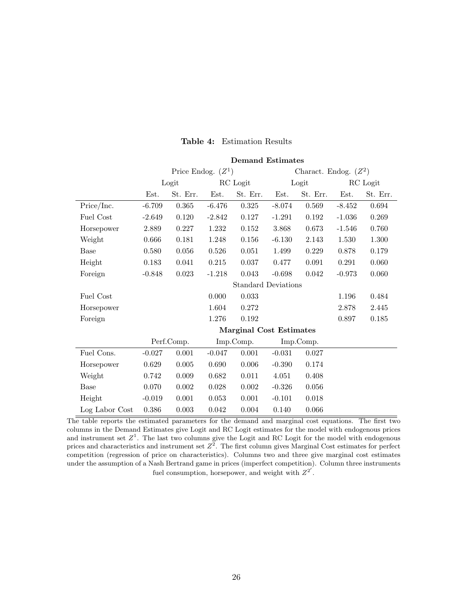<span id="page-26-0"></span>

|                |                         | Price Endog. $(Z^1)$ |          |                                |                |           | Charact. Endog. $(Z^2)$ |             |
|----------------|-------------------------|----------------------|----------|--------------------------------|----------------|-----------|-------------------------|-------------|
|                |                         | Logit                |          | RC Logit                       |                | Logit     | RC Logit                |             |
|                | Est.                    | St. Err.             | Est.     | St. Err.                       | Est.           | St. Err.  |                         | St. Err.    |
| Price/Inc.     | $-6.709$                | $\,0.365\,$          | $-6.476$ | $0.325\,$                      | $-8.074$       | 0.569     | $-8.452$                | $\,0.694\,$ |
| Fuel Cost      | $-2.649$                | 0.120                | $-2.842$ | 0.127                          | $-1.291$       | 0.192     | $-1.036$                | 0.269       |
| Horsepower     | 2.889                   | 0.227                | 1.232    | 0.152                          | 3.868<br>0.673 |           | $-1.546$                | 0.760       |
| Weight         | 0.666                   | 0.181                | 1.248    | 0.156                          | $-6.130$       | 2.143     | 1.530                   | $1.300\,$   |
| <b>Base</b>    | 0.580                   | 0.056                | 0.526    | 0.051                          | 1.499          | 0.229     | 0.878                   | 0.179       |
| Height         | 0.183                   | 0.041                | 0.215    | 0.037                          | 0.477          | 0.091     | 0.291                   | 0.060       |
| Foreign        | $-0.848$                | 0.023                | $-1.218$ | 0.043                          | $-0.698$       | 0.042     | $-0.973$                | 0.060       |
|                |                         |                      |          | <b>Standard Deviations</b>     |                |           |                         |             |
| Fuel Cost      |                         |                      | 0.000    | 0.033                          |                |           | 1.196                   | 0.484       |
| Horsepower     |                         |                      | 1.604    | 0.272                          |                |           | 2.878                   | 2.445       |
| Foreign        |                         |                      | 1.276    | 0.192                          |                |           | 0.897                   | 0.185       |
|                |                         |                      |          | <b>Marginal Cost Estimates</b> |                |           |                         |             |
|                | Perf.Comp.<br>Imp.Comp. |                      |          |                                |                | Imp.Comp. |                         |             |
| Fuel Cons.     | $-0.027$                | $0.001\,$            | $-0.047$ | $0.001\,$                      | $-0.031$       | 0.027     |                         |             |
| Horsepower     | 0.629                   | 0.005                | 0.690    | 0.006                          | $-0.390$       | 0.174     |                         |             |
| Weight         | 0.742                   | 0.009                | 0.682    | 0.011                          | 4.051          | 0.408     |                         |             |
| <b>Base</b>    | 0.070                   | 0.002                | 0.028    | 0.002                          | $-0.326$       | 0.056     |                         |             |
| Height         | $-0.019$                | $0.001\,$            | 0.053    | $0.001\,$                      | $-0.101$       | 0.018     |                         |             |
| Log Labor Cost | 0.386                   | 0.003                | 0.042    | 0.004                          | 0.140          | 0.066     |                         |             |

#### Table 4: Estimation Results

Demand Estimates

The table reports the estimated parameters for the demand and marginal cost equations. The first two columns in the Demand Estimates give Logit and RC Logit estimates for the model with endogenous prices and instrument set  $Z<sup>1</sup>$ . The last two columns give the Logit and RC Logit for the model with endogenous prices and characteristics and instrument set  $Z^2$ . The first column gives Marginal Cost estimates for perfect competition (regression of price on characteristics). Columns two and three give marginal cost estimates under the assumption of a Nash Bertrand game in prices (imperfect competition). Column three instruments fuel consumption, horsepower, and weight with  $Z^{2'}$ .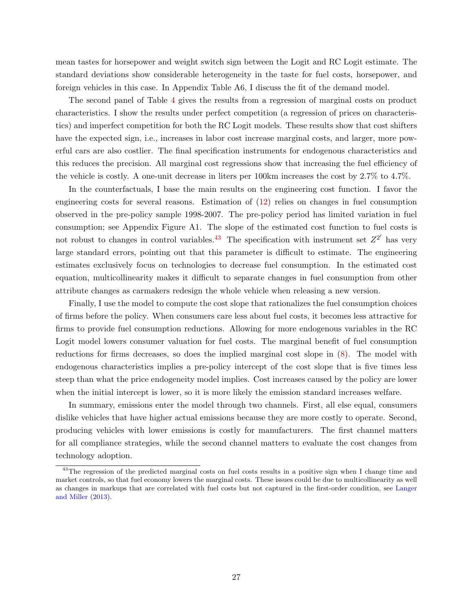mean tastes for horsepower and weight switch sign between the Logit and RC Logit estimate. The standard deviations show considerable heterogeneity in the taste for fuel costs, horsepower, and foreign vehicles in this case. In Appendix Table A6, I discuss the fit of the demand model.

The second panel of Table [4](#page-26-0) gives the results from a regression of marginal costs on product characteristics. I show the results under perfect competition (a regression of prices on characteristics) and imperfect competition for both the RC Logit models. These results show that cost shifters have the expected sign, i.e., increases in labor cost increase marginal costs, and larger, more powerful cars are also costlier. The final specification instruments for endogenous characteristics and this reduces the precision. All marginal cost regressions show that increasing the fuel efficiency of the vehicle is costly. A one-unit decrease in liters per 100km increases the cost by 2.7% to 4.7%.

In the counterfactuals, I base the main results on the engineering cost function. I favor the engineering costs for several reasons. Estimation of [\(12\)](#page-25-0) relies on changes in fuel consumption observed in the pre-policy sample 1998-2007. The pre-policy period has limited variation in fuel consumption; see Appendix Figure A1. The slope of the estimated cost function to fuel costs is not robust to changes in control variables.<sup>[43](#page-27-0)</sup> The specification with instrument set  $Z^{2'}$  has very large standard errors, pointing out that this parameter is difficult to estimate. The engineering estimates exclusively focus on technologies to decrease fuel consumption. In the estimated cost equation, multicollinearity makes it difficult to separate changes in fuel consumption from other attribute changes as carmakers redesign the whole vehicle when releasing a new version.

Finally, I use the model to compute the cost slope that rationalizes the fuel consumption choices of firms before the policy. When consumers care less about fuel costs, it becomes less attractive for firms to provide fuel consumption reductions. Allowing for more endogenous variables in the RC Logit model lowers consumer valuation for fuel costs. The marginal benefit of fuel consumption reductions for firms decreases, so does the implied marginal cost slope in [\(8\)](#page-18-0). The model with endogenous characteristics implies a pre-policy intercept of the cost slope that is five times less steep than what the price endogeneity model implies. Cost increases caused by the policy are lower when the initial intercept is lower, so it is more likely the emission standard increases welfare.

In summary, emissions enter the model through two channels. First, all else equal, consumers dislike vehicles that have higher actual emissions because they are more costly to operate. Second, producing vehicles with lower emissions is costly for manufacturers. The first channel matters for all compliance strategies, while the second channel matters to evaluate the cost changes from technology adoption.

<span id="page-27-0"></span><sup>&</sup>lt;sup>43</sup>The regression of the predicted marginal costs on fuel costs results in a positive sign when I change time and market controls, so that fuel economy lowers the marginal costs. These issues could be due to multicollinearity as well as changes in markups that are correlated with fuel costs but not captured in the first-order condition, see [Langer](#page-41-11) [and Miller](#page-41-11) [\(2013\)](#page-41-11).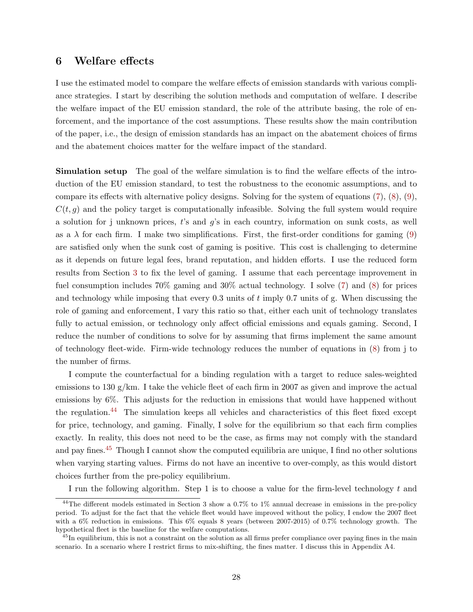## <span id="page-28-0"></span>6 Welfare effects

I use the estimated model to compare the welfare effects of emission standards with various compliance strategies. I start by describing the solution methods and computation of welfare. I describe the welfare impact of the EU emission standard, the role of the attribute basing, the role of enforcement, and the importance of the cost assumptions. These results show the main contribution of the paper, i.e., the design of emission standards has an impact on the abatement choices of firms and the abatement choices matter for the welfare impact of the standard.

Simulation setup The goal of the welfare simulation is to find the welfare effects of the introduction of the EU emission standard, to test the robustness to the economic assumptions, and to compare its effects with alternative policy designs. Solving for the system of equations  $(7)$ ,  $(8)$ ,  $(9)$ ,  $C(t, q)$  and the policy target is computationally infeasible. Solving the full system would require a solution for j unknown prices,  $t$ 's and  $q$ 's in each country, information on sunk costs, as well as a  $\lambda$  for each firm. I make two simplifications. First, the first-order conditions for gaming [\(9\)](#page-18-0) are satisfied only when the sunk cost of gaming is positive. This cost is challenging to determine as it depends on future legal fees, brand reputation, and hidden efforts. I use the reduced form results from Section [3](#page-10-0) to fix the level of gaming. I assume that each percentage improvement in fuel consumption includes 70% gaming and 30% actual technology. I solve [\(7\)](#page-18-0) and [\(8\)](#page-18-0) for prices and technology while imposing that every 0.3 units of  $t$  imply 0.7 units of  $g$ . When discussing the role of gaming and enforcement, I vary this ratio so that, either each unit of technology translates fully to actual emission, or technology only affect official emissions and equals gaming. Second, I reduce the number of conditions to solve for by assuming that firms implement the same amount of technology fleet-wide. Firm-wide technology reduces the number of equations in [\(8\)](#page-18-0) from j to the number of firms.

I compute the counterfactual for a binding regulation with a target to reduce sales-weighted emissions to 130 g/km. I take the vehicle fleet of each firm in 2007 as given and improve the actual emissions by 6%. This adjusts for the reduction in emissions that would have happened without the regulation.[44](#page-28-1) The simulation keeps all vehicles and characteristics of this fleet fixed except for price, technology, and gaming. Finally, I solve for the equilibrium so that each firm complies exactly. In reality, this does not need to be the case, as firms may not comply with the standard and pay fines.<sup>[45](#page-28-2)</sup> Though I cannot show the computed equilibria are unique, I find no other solutions when varying starting values. Firms do not have an incentive to over-comply, as this would distort choices further from the pre-policy equilibrium.

<span id="page-28-1"></span>I run the following algorithm. Step 1 is to choose a value for the firm-level technology  $t$  and

<sup>&</sup>lt;sup>44</sup>The different models estimated in Section 3 show a 0.7% to 1% annual decrease in emissions in the pre-policy period. To adjust for the fact that the vehicle fleet would have improved without the policy, I endow the 2007 fleet with a 6% reduction in emissions. This 6% equals 8 years (between 2007-2015) of 0.7% technology growth. The hypothetical fleet is the baseline for the welfare computations.

<span id="page-28-2"></span> $^{45}$ In equilibrium, this is not a constraint on the solution as all firms prefer compliance over paying fines in the main scenario. In a scenario where I restrict firms to mix-shifting, the fines matter. I discuss this in Appendix A4.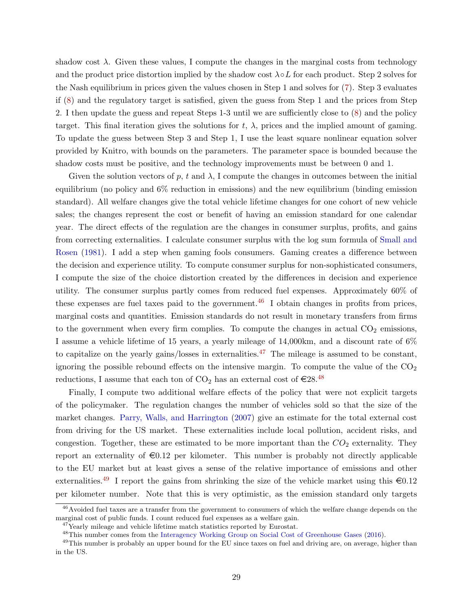shadow cost  $\lambda$ . Given these values, I compute the changes in the marginal costs from technology and the product price distortion implied by the shadow cost  $\lambda \circ L$  for each product. Step 2 solves for the Nash equilibrium in prices given the values chosen in Step 1 and solves for [\(7\)](#page-18-0). Step 3 evaluates if [\(8\)](#page-18-0) and the regulatory target is satisfied, given the guess from Step 1 and the prices from Step 2. I then update the guess and repeat Steps 1-3 until we are sufficiently close to [\(8\)](#page-18-0) and the policy target. This final iteration gives the solutions for t,  $\lambda$ , prices and the implied amount of gaming. To update the guess between Step 3 and Step 1, I use the least square nonlinear equation solver provided by Knitro, with bounds on the parameters. The parameter space is bounded because the shadow costs must be positive, and the technology improvements must be between 0 and 1.

Given the solution vectors of p, t and  $\lambda$ , I compute the changes in outcomes between the initial equilibrium (no policy and 6% reduction in emissions) and the new equilibrium (binding emission standard). All welfare changes give the total vehicle lifetime changes for one cohort of new vehicle sales; the changes represent the cost or benefit of having an emission standard for one calendar year. The direct effects of the regulation are the changes in consumer surplus, profits, and gains from correcting externalities. I calculate consumer surplus with the log sum formula of [Small and](#page-42-8) [Rosen](#page-42-8) [\(1981\)](#page-42-8). I add a step when gaming fools consumers. Gaming creates a difference between the decision and experience utility. To compute consumer surplus for non-sophisticated consumers, I compute the size of the choice distortion created by the differences in decision and experience utility. The consumer surplus partly comes from reduced fuel expenses. Approximately 60% of these expenses are fuel taxes paid to the government.<sup>[46](#page-29-0)</sup> I obtain changes in profits from prices, marginal costs and quantities. Emission standards do not result in monetary transfers from firms to the government when every firm complies. To compute the changes in actual  $CO<sub>2</sub>$  emissions, I assume a vehicle lifetime of 15 years, a yearly mileage of 14,000km, and a discount rate of 6% to capitalize on the yearly gains/losses in externalities.<sup>[47](#page-29-1)</sup> The mileage is assumed to be constant, ignoring the possible rebound effects on the intensive margin. To compute the value of the  $CO<sub>2</sub>$ reductions, I assume that each ton of  $CO<sub>2</sub>$  has an external cost of  $\in 28$ .<sup>[48](#page-29-2)</sup>

Finally, I compute two additional welfare effects of the policy that were not explicit targets of the policymaker. The regulation changes the number of vehicles sold so that the size of the market changes. [Parry, Walls, and Harrington](#page-42-9) [\(2007\)](#page-42-9) give an estimate for the total external cost from driving for the US market. These externalities include local pollution, accident risks, and congestion. Together, these are estimated to be more important than the  $CO<sub>2</sub>$  externality. They report an externality of  $\epsilon 0.12$  per kilometer. This number is probably not directly applicable to the EU market but at least gives a sense of the relative importance of emissions and other externalities.<sup>[49](#page-29-3)</sup> I report the gains from shrinking the size of the vehicle market using this  $\epsilon 0.12$ per kilometer number. Note that this is very optimistic, as the emission standard only targets

<span id="page-29-0"></span><sup>&</sup>lt;sup>46</sup>Avoided fuel taxes are a transfer from the government to consumers of which the welfare change depends on the marginal cost of public funds. I count reduced fuel expenses as a welfare gain.

<span id="page-29-1"></span> $47$ Yearly mileage and vehicle lifetime match statistics reported by Eurostat.

<span id="page-29-3"></span><span id="page-29-2"></span><sup>48</sup>This number comes from the [Interagency Working Group on Social Cost of Greenhouse Gases](#page-41-12) [\(2016\)](#page-41-12).

<sup>&</sup>lt;sup>49</sup>This number is probably an upper bound for the EU since taxes on fuel and driving are, on average, higher than in the US.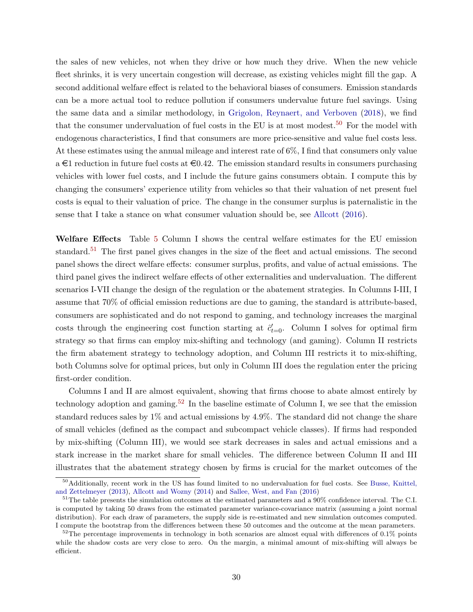the sales of new vehicles, not when they drive or how much they drive. When the new vehicle fleet shrinks, it is very uncertain congestion will decrease, as existing vehicles might fill the gap. A second additional welfare effect is related to the behavioral biases of consumers. Emission standards can be a more actual tool to reduce pollution if consumers undervalue future fuel savings. Using the same data and a similar methodology, in [Grigolon, Reynaert, and Verboven](#page-40-7) [\(2018\)](#page-40-7), we find that the consumer undervaluation of fuel costs in the EU is at most modest.<sup>[50](#page-30-0)</sup> For the model with endogenous characteristics, I find that consumers are more price-sensitive and value fuel costs less. At these estimates using the annual mileage and interest rate of 6%, I find that consumers only value a  $\in$ 1 reduction in future fuel costs at  $\in$ 0.42. The emission standard results in consumers purchasing vehicles with lower fuel costs, and I include the future gains consumers obtain. I compute this by changing the consumers' experience utility from vehicles so that their valuation of net present fuel costs is equal to their valuation of price. The change in the consumer surplus is paternalistic in the sense that I take a stance on what consumer valuation should be, see [Allcott](#page-38-3) [\(2016\)](#page-38-3).

Welfare Effects Table [5](#page-32-0) Column I shows the central welfare estimates for the EU emission standard.<sup>[51](#page-30-1)</sup> The first panel gives changes in the size of the fleet and actual emissions. The second panel shows the direct welfare effects: consumer surplus, profits, and value of actual emissions. The third panel gives the indirect welfare effects of other externalities and undervaluation. The different scenarios I-VII change the design of the regulation or the abatement strategies. In Columns I-III, I assume that 70% of official emission reductions are due to gaming, the standard is attribute-based, consumers are sophisticated and do not respond to gaming, and technology increases the marginal costs through the engineering cost function starting at  $\hat{c}'_{t=0}$ . Column I solves for optimal firm strategy so that firms can employ mix-shifting and technology (and gaming). Column II restricts the firm abatement strategy to technology adoption, and Column III restricts it to mix-shifting, both Columns solve for optimal prices, but only in Column III does the regulation enter the pricing first-order condition.

Columns I and II are almost equivalent, showing that firms choose to abate almost entirely by technology adoption and gaming.<sup>[52](#page-30-2)</sup> In the baseline estimate of Column I, we see that the emission standard reduces sales by 1% and actual emissions by 4.9%. The standard did not change the share of small vehicles (defined as the compact and subcompact vehicle classes). If firms had responded by mix-shifting (Column III), we would see stark decreases in sales and actual emissions and a stark increase in the market share for small vehicles. The difference between Column II and III illustrates that the abatement strategy chosen by firms is crucial for the market outcomes of the

<span id="page-30-0"></span><sup>&</sup>lt;sup>50</sup>Additionally, recent work in the US has found limited to no undervaluation for fuel costs. See [Busse, Knittel,](#page-39-11) [and Zettelmeyer](#page-39-11) [\(2013\)](#page-39-11), [Allcott and Wozny](#page-38-0) [\(2014\)](#page-38-0) and [Sallee, West, and Fan](#page-42-10) [\(2016\)](#page-42-10)

<span id="page-30-1"></span> $51$ The table presents the simulation outcomes at the estimated parameters and a 90% confidence interval. The C.I. is computed by taking 50 draws from the estimated parameter variance-covariance matrix (assuming a joint normal distribution). For each draw of parameters, the supply side is re-estimated and new simulation outcomes computed. I compute the bootstrap from the differences between these 50 outcomes and the outcome at the mean parameters.

<span id="page-30-2"></span> $52$ The percentage improvements in technology in both scenarios are almost equal with differences of 0.1% points while the shadow costs are very close to zero. On the margin, a minimal amount of mix-shifting will always be efficient.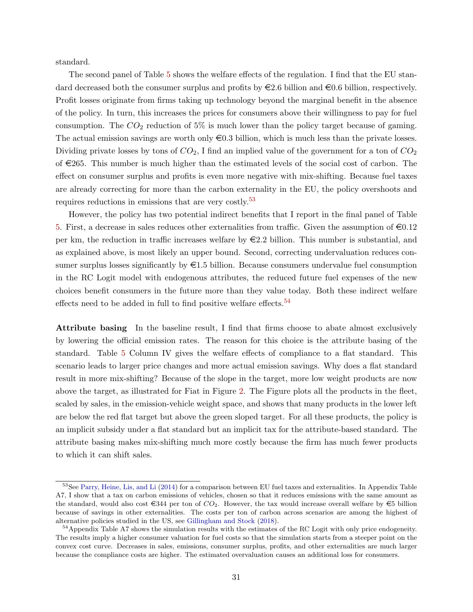standard.

The second panel of Table [5](#page-32-0) shows the welfare effects of the regulation. I find that the EU standard decreased both the consumer surplus and profits by  $\in 2.6$  billion and  $\in 0.6$  billion, respectively. Profit losses originate from firms taking up technology beyond the marginal benefit in the absence of the policy. In turn, this increases the prices for consumers above their willingness to pay for fuel consumption. The  $CO<sub>2</sub>$  reduction of 5% is much lower than the policy target because of gaming. The actual emission savings are worth only  $\in 0.3$  billion, which is much less than the private losses. Dividing private losses by tons of  $CO<sub>2</sub>$ , I find an implied value of the government for a ton of  $CO<sub>2</sub>$ of  $\in 265$ . This number is much higher than the estimated levels of the social cost of carbon. The effect on consumer surplus and profits is even more negative with mix-shifting. Because fuel taxes are already correcting for more than the carbon externality in the EU, the policy overshoots and requires reductions in emissions that are very costly.<sup>[53](#page-31-0)</sup>

However, the policy has two potential indirect benefits that I report in the final panel of Table [5.](#page-32-0) First, a decrease in sales reduces other externalities from traffic. Given the assumption of  $\epsilon 0.12$ per km, the reduction in traffic increases welfare by  $\epsilon$ 2.2 billion. This number is substantial, and as explained above, is most likely an upper bound. Second, correcting undervaluation reduces consumer surplus losses significantly by  $\in$ 1.5 billion. Because consumers undervalue fuel consumption in the RC Logit model with endogenous attributes, the reduced future fuel expenses of the new choices benefit consumers in the future more than they value today. Both these indirect welfare effects need to be added in full to find positive welfare effects.<sup>[54](#page-31-1)</sup>

Attribute basing In the baseline result, I find that firms choose to abate almost exclusively by lowering the official emission rates. The reason for this choice is the attribute basing of the standard. Table [5](#page-32-0) Column IV gives the welfare effects of compliance to a flat standard. This scenario leads to larger price changes and more actual emission savings. Why does a flat standard result in more mix-shifting? Because of the slope in the target, more low weight products are now above the target, as illustrated for Fiat in Figure [2.](#page-34-0) The Figure plots all the products in the fleet, scaled by sales, in the emission-vehicle weight space, and shows that many products in the lower left are below the red flat target but above the green sloped target. For all these products, the policy is an implicit subsidy under a flat standard but an implicit tax for the attribute-based standard. The attribute basing makes mix-shifting much more costly because the firm has much fewer products to which it can shift sales.

<span id="page-31-0"></span><sup>&</sup>lt;sup>53</sup>See [Parry, Heine, Lis, and Li](#page-42-11) [\(2014\)](#page-42-11) for a comparison between EU fuel taxes and externalities. In Appendix Table A7, I show that a tax on carbon emissions of vehicles, chosen so that it reduces emissions with the same amount as the standard, would also cost  $\in 344$  per ton of  $CO_2$ . However, the tax would increase overall welfare by  $\in 5$  billion because of savings in other externalities. The costs per ton of carbon across scenarios are among the highest of alternative policies studied in the US, see [Gillingham and Stock](#page-40-10) [\(2018\)](#page-40-10).

<span id="page-31-1"></span> $54$ Appendix Table A7 shows the simulation results with the estimates of the RC Logit with only price endogeneity. The results imply a higher consumer valuation for fuel costs so that the simulation starts from a steeper point on the convex cost curve. Decreases in sales, emissions, consumer surplus, profits, and other externalities are much larger because the compliance costs are higher. The estimated overvaluation causes an additional loss for consumers.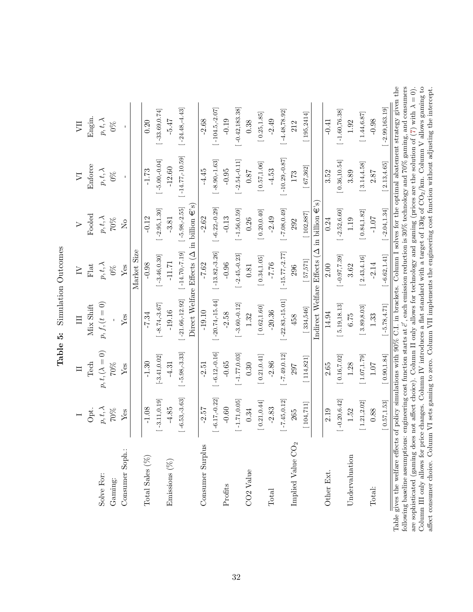<span id="page-32-0"></span>

|                                                                                                                                                                                                                                                                                                                                                                                                                                                                                                                                                                                                                                |                 | $\Box$            | $\Xi$              | $\geq$                              | $\triangleright$                  | $\overline{\triangledown}$ | JЦ                                                                                                          |  |
|--------------------------------------------------------------------------------------------------------------------------------------------------------------------------------------------------------------------------------------------------------------------------------------------------------------------------------------------------------------------------------------------------------------------------------------------------------------------------------------------------------------------------------------------------------------------------------------------------------------------------------|-----------------|-------------------|--------------------|-------------------------------------|-----------------------------------|----------------------------|-------------------------------------------------------------------------------------------------------------|--|
|                                                                                                                                                                                                                                                                                                                                                                                                                                                                                                                                                                                                                                | Opt.            | Tech              | Mix Shift          | ${\rm Flat}$                        | Fooled                            | Enforce                    | Engin.                                                                                                      |  |
| Solve For:                                                                                                                                                                                                                                                                                                                                                                                                                                                                                                                                                                                                                     | $p, t, \lambda$ | $p,t,(\lambda=0)$ | $p, f, (t = 0)$    | $p,t,\lambda$                       | $p,t,\lambda$                     | $p,t,\lambda$              | $p,t,\lambda$                                                                                               |  |
| Gaming:                                                                                                                                                                                                                                                                                                                                                                                                                                                                                                                                                                                                                        | 70%             | $70\%$            |                    | $0\%$                               | 70%                               | $0\%$                      | $0\%$                                                                                                       |  |
| Consumer Soph.:                                                                                                                                                                                                                                                                                                                                                                                                                                                                                                                                                                                                                | Yes             | Yes               | Yes                | ${\rm Yes}$                         | $\overline{N}_{\overline{O}}$     |                            |                                                                                                             |  |
|                                                                                                                                                                                                                                                                                                                                                                                                                                                                                                                                                                                                                                |                 |                   |                    | Market Size                         |                                   |                            |                                                                                                             |  |
| Total Sales $(\%)$                                                                                                                                                                                                                                                                                                                                                                                                                                                                                                                                                                                                             | $-1.08$         | $-1.30$           | $-7.34$            | $-0.98$                             | $-0.12$                           | $-1.73$                    | 0.20                                                                                                        |  |
|                                                                                                                                                                                                                                                                                                                                                                                                                                                                                                                                                                                                                                | $-3.11, 0.19$   | $[-3.41, 0.02]$   | $[-8.74,-3.67]$    | $[-3.46, 0.30]$                     | $[-2.95, 1.30]$                   | $[-5.00, -0.04]$           | $[-33.69, 0.74]$                                                                                            |  |
| Emissions $(\%)$                                                                                                                                                                                                                                                                                                                                                                                                                                                                                                                                                                                                               | $-4.85$         | $-4.31$           | $-19.16$           | $-11.71$                            | $-3.81$                           | $-12.60$                   | $-5.47$                                                                                                     |  |
|                                                                                                                                                                                                                                                                                                                                                                                                                                                                                                                                                                                                                                | $-6.53, -3.63$  | $[-5.98, -3.33]$  | $[-21.66,-12.92]$  | $[-14.70,-7.19]$                    | $[-5.98,-2.55]$                   | $[-14.77,-10.59]$          | $[-24.48, -4.43]$                                                                                           |  |
|                                                                                                                                                                                                                                                                                                                                                                                                                                                                                                                                                                                                                                |                 |                   |                    | Direct Welfare Effects (A           | in billion $\epsilon$ 's)         |                            |                                                                                                             |  |
| Consumer Surplus                                                                                                                                                                                                                                                                                                                                                                                                                                                                                                                                                                                                               | $-2.57$         | $-2.51$           | $-19.10$           | $-7.62$                             | $-2.62$                           | $-4.45$                    | $-2.68$                                                                                                     |  |
|                                                                                                                                                                                                                                                                                                                                                                                                                                                                                                                                                                                                                                | $-6.17, -0.22$  | $[-6.12,-0.16]$   | $[-20.74, 15.44]$  | $[-13.82,-3.26]$                    | $[-6.22,-0.29]$                   | $[-8.90, -1.63]$           | $[-104.5, -2.07]$                                                                                           |  |
| Profits                                                                                                                                                                                                                                                                                                                                                                                                                                                                                                                                                                                                                        | $-0.60$         | $-0.65$           | $-2.58$            | $-0.96$                             | $-0.13$                           | $-0.95$                    | $-0.19$                                                                                                     |  |
|                                                                                                                                                                                                                                                                                                                                                                                                                                                                                                                                                                                                                                | $-1.71, 0.05$   | $[-1.77, 0.03]$   | $[-3.60,-0.12]$    | $[-2.45, 0.23]$                     | $[-1.56, 0.59]$                   | $[-2.54, 0.11]$            | $[-0.42, 183.38]$                                                                                           |  |
| CO <sub>2</sub> Value                                                                                                                                                                                                                                                                                                                                                                                                                                                                                                                                                                                                          | 0.34            | 0.30              | $1.32\,$           | 0.81                                | 0.26                              | $78.0$                     | 0.38                                                                                                        |  |
|                                                                                                                                                                                                                                                                                                                                                                                                                                                                                                                                                                                                                                | 0.21, 0.44      | 0.21, 0.41]       | [0.62, 1.60]       | [0.34, 1.05]                        | [0.20, 0.40]                      | [0.57, 1.06]               | [0.25, 1.85]                                                                                                |  |
| Total                                                                                                                                                                                                                                                                                                                                                                                                                                                                                                                                                                                                                          | $-2.83$         | $-2.86$           | $-20.36$           | $-7.76$                             | $-2.49$                           | $-4.53$                    | $-2.49$                                                                                                     |  |
|                                                                                                                                                                                                                                                                                                                                                                                                                                                                                                                                                                                                                                | $-7.45, 0.12$   | $[-7.49, 0.12]$   | $[-22.83, -15.01]$ | $[-15.77,-2.77]$                    | $[-7.08, 0.49]$                   | $[-10.29,-0.87]$           | $[-4.48, 78.92]$                                                                                            |  |
| Implied Value CO <sub>2</sub>                                                                                                                                                                                                                                                                                                                                                                                                                                                                                                                                                                                                  | 265             | 297               | 458                | 296                                 | 292                               | 173                        | 212                                                                                                         |  |
|                                                                                                                                                                                                                                                                                                                                                                                                                                                                                                                                                                                                                                | [104, 711]      | [114, 821]        | [334,546]          | [57,571]                            | [102, 887]                        | [67,362]                   | [195, 2414]                                                                                                 |  |
|                                                                                                                                                                                                                                                                                                                                                                                                                                                                                                                                                                                                                                |                 |                   |                    | Indirect Welfare Effects ( $\Delta$ | $\widehat{\in}$ 's)<br>in billion |                            |                                                                                                             |  |
| Other Ext.                                                                                                                                                                                                                                                                                                                                                                                                                                                                                                                                                                                                                     | 2.19            | 2.65              | 14.94              | 2.00                                | 0.24                              | 3.52                       | $-0.41$                                                                                                     |  |
|                                                                                                                                                                                                                                                                                                                                                                                                                                                                                                                                                                                                                                | $-0.20, 6.42]$  | [0.16, 7.02]      | 5.19, 18.13        | $[-0.97, 7.39]$                     | $[-2.52, 6.60]$                   | [0.36, 10.54]              | $[-1.60, 76.38]$                                                                                            |  |
| Undervaluation                                                                                                                                                                                                                                                                                                                                                                                                                                                                                                                                                                                                                 | 1.52            | 1.28              | 6.75               | 3.62                                | 1.19                              | 3.89                       | 1.92                                                                                                        |  |
|                                                                                                                                                                                                                                                                                                                                                                                                                                                                                                                                                                                                                                | 1.21, 2.02      | [1.07, 1.79]      | 3.89,8.03          | [2.43, 4.16]                        | [0.84, 1.82]                      | [3.14, 4.58]               | [1.44, 6.87]                                                                                                |  |
| Total:                                                                                                                                                                                                                                                                                                                                                                                                                                                                                                                                                                                                                         | 0.88            | $1.07\,$          | 1.33               | $-2.14$                             | $-1.07$                           | 2.87                       | $-0.98$                                                                                                     |  |
|                                                                                                                                                                                                                                                                                                                                                                                                                                                                                                                                                                                                                                | 0.57, 1.53      | [0.90, 1.84]      | $[-5.78, 4.71]$    | $[-6.62, 1.41]$                     | $[-2.04, 1.34]$                   | 2.13, 4.65                 | $[-2.99, 163.19]$                                                                                           |  |
| Column III only allows for price changes. Column IV introduces a flat standard with a target of 130g of $CO_2/km$ . Column V allows gaming to<br>following baseline assumptions: engineering cost function starts at $\hat{c}'$ , each emission reduction is $30\%$ technology and $70\%$ gaming, and consumers<br>are sophisticated (gaming does not affect choice). Column II only allows for technology and gaming (prices are the solution of $(7)$ with $\lambda = 0$ ).<br>Table gives the welfare effects of policy simulations with 90% C.I. in brackets. Column I solves for the optimal abatement strategy given the |                 |                   |                    |                                     |                                   |                            |                                                                                                             |  |
| affect consumer choice. Column                                                                                                                                                                                                                                                                                                                                                                                                                                                                                                                                                                                                 |                 |                   |                    |                                     |                                   |                            | VI sets gaming to zero. Column VII implements the engineering cost function without adjusting the intercept |  |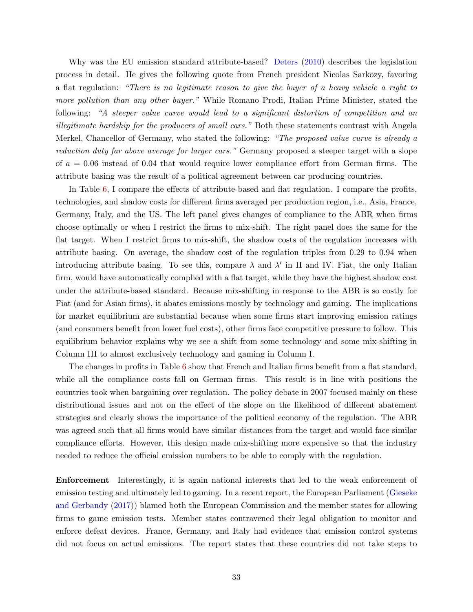Why was the EU emission standard attribute-based? [Deters](#page-39-8) [\(2010\)](#page-39-8) describes the legislation process in detail. He gives the following quote from French president Nicolas Sarkozy, favoring a flat regulation: "There is no legitimate reason to give the buyer of a heavy vehicle a right to more pollution than any other buyer." While Romano Prodi, Italian Prime Minister, stated the following: "A steeper value curve would lead to a significant distortion of competition and an illegitimate hardship for the producers of small cars." Both these statements contrast with Angela Merkel, Chancellor of Germany, who stated the following: "The proposed value curve is already a reduction duty far above average for larger cars." Germany proposed a steeper target with a slope of  $a = 0.06$  instead of 0.04 that would require lower compliance effort from German firms. The attribute basing was the result of a political agreement between car producing countries.

In Table [6,](#page-34-1) I compare the effects of attribute-based and flat regulation. I compare the profits, technologies, and shadow costs for different firms averaged per production region, i.e., Asia, France, Germany, Italy, and the US. The left panel gives changes of compliance to the ABR when firms choose optimally or when I restrict the firms to mix-shift. The right panel does the same for the flat target. When I restrict firms to mix-shift, the shadow costs of the regulation increases with attribute basing. On average, the shadow cost of the regulation triples from 0.29 to 0.94 when introducing attribute basing. To see this, compare  $\lambda$  and  $\lambda'$  in II and IV. Fiat, the only Italian firm, would have automatically complied with a flat target, while they have the highest shadow cost under the attribute-based standard. Because mix-shifting in response to the ABR is so costly for Fiat (and for Asian firms), it abates emissions mostly by technology and gaming. The implications for market equilibrium are substantial because when some firms start improving emission ratings (and consumers benefit from lower fuel costs), other firms face competitive pressure to follow. This equilibrium behavior explains why we see a shift from some technology and some mix-shifting in Column III to almost exclusively technology and gaming in Column I.

The changes in profits in Table [6](#page-34-1) show that French and Italian firms benefit from a flat standard, while all the compliance costs fall on German firms. This result is in line with positions the countries took when bargaining over regulation. The policy debate in 2007 focused mainly on these distributional issues and not on the effect of the slope on the likelihood of different abatement strategies and clearly shows the importance of the political economy of the regulation. The ABR was agreed such that all firms would have similar distances from the target and would face similar compliance efforts. However, this design made mix-shifting more expensive so that the industry needed to reduce the official emission numbers to be able to comply with the regulation.

Enforcement Interestingly, it is again national interests that led to the weak enforcement of emission testing and ultimately led to gaming. In a recent report, the European Parliament [\(Gieseke](#page-40-3) [and Gerbandy](#page-40-3) [\(2017\)](#page-40-3)) blamed both the European Commission and the member states for allowing firms to game emission tests. Member states contravened their legal obligation to monitor and enforce defeat devices. France, Germany, and Italy had evidence that emission control systems did not focus on actual emissions. The report states that these countries did not take steps to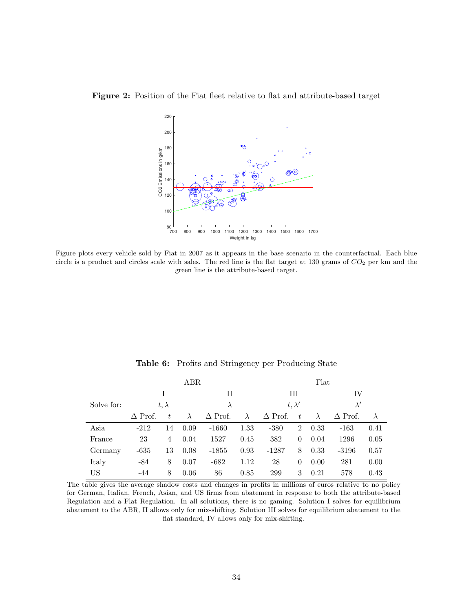

<span id="page-34-0"></span>Figure 2: Position of the Fiat fleet relative to flat and attribute-based target

Figure plots every vehicle sold by Fiat in 2007 as it appears in the base scenario in the counterfactual. Each blue circle is a product and circles scale with sales. The red line is the flat target at  $130$  grams of  $CO<sub>2</sub>$  per km and the green line is the attribute-based target.

<span id="page-34-1"></span>

|            |                | ABR          |      |                |           |                |                  | Flat      |                |      |  |  |  |
|------------|----------------|--------------|------|----------------|-----------|----------------|------------------|-----------|----------------|------|--|--|--|
|            |                |              | Н    |                |           | Ш              |                  | IV        |                |      |  |  |  |
| Solve for: |                | $t, \lambda$ |      | $\lambda$      |           |                | $t, \lambda'$    |           | $\lambda'$     |      |  |  |  |
|            | $\Delta$ Prof. | t.           |      | $\Delta$ Prof. | $\lambda$ | $\Delta$ Prof. | $\boldsymbol{t}$ | $\lambda$ | $\Delta$ Prof. |      |  |  |  |
| Asia       | $-212$         | 14           | 0.09 | $-1660$        | 1.33      | $-380$         | $\overline{2}$   | 0.33      | $-163$         | 0.41 |  |  |  |
| France     | 23             | 4            | 0.04 | 1527           | 0.45      | 382            | $\left( \right)$ | 0.04      | 1296           | 0.05 |  |  |  |
| Germany    | -635           | 13           | 0.08 | $-1855$        | 0.93      | $-1287$        | 8                | 0.33      | $-3196$        | 0.57 |  |  |  |
| Italy      | -84            | 8            | 0.07 | -682           | 1.12      | 28             | $\theta$         | 0.00      | 281            | 0.00 |  |  |  |
| US         | -44            | 8            | 0.06 | 86             | 0.85      | 299            | 3                | 0.21      | 578            | 0.43 |  |  |  |

Table 6: Profits and Stringency per Producing State

The table gives the average shadow costs and changes in profits in millions of euros relative to no policy for German, Italian, French, Asian, and US firms from abatement in response to both the attribute-based Regulation and a Flat Regulation. In all solutions, there is no gaming. Solution I solves for equilibrium abatement to the ABR, II allows only for mix-shifting. Solution III solves for equilibrium abatement to the flat standard, IV allows only for mix-shifting.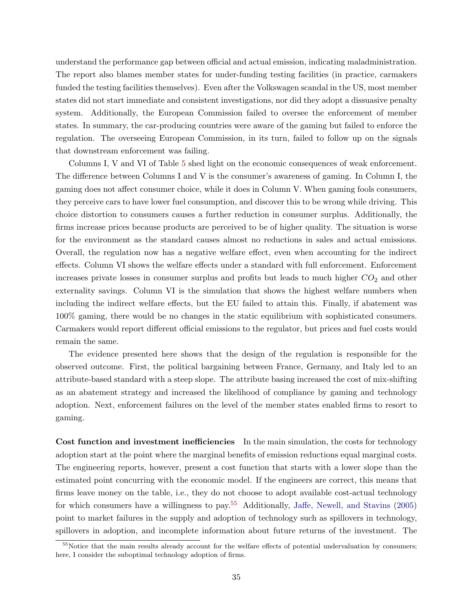understand the performance gap between official and actual emission, indicating maladministration. The report also blames member states for under-funding testing facilities (in practice, carmakers funded the testing facilities themselves). Even after the Volkswagen scandal in the US, most member states did not start immediate and consistent investigations, nor did they adopt a dissuasive penalty system. Additionally, the European Commission failed to oversee the enforcement of member states. In summary, the car-producing countries were aware of the gaming but failed to enforce the regulation. The overseeing European Commission, in its turn, failed to follow up on the signals that downstream enforcement was failing.

Columns I, V and VI of Table [5](#page-32-0) shed light on the economic consequences of weak enforcement. The difference between Columns I and V is the consumer's awareness of gaming. In Column I, the gaming does not affect consumer choice, while it does in Column V. When gaming fools consumers, they perceive cars to have lower fuel consumption, and discover this to be wrong while driving. This choice distortion to consumers causes a further reduction in consumer surplus. Additionally, the firms increase prices because products are perceived to be of higher quality. The situation is worse for the environment as the standard causes almost no reductions in sales and actual emissions. Overall, the regulation now has a negative welfare effect, even when accounting for the indirect effects. Column VI shows the welfare effects under a standard with full enforcement. Enforcement increases private losses in consumer surplus and profits but leads to much higher  $CO<sub>2</sub>$  and other externality savings. Column VI is the simulation that shows the highest welfare numbers when including the indirect welfare effects, but the EU failed to attain this. Finally, if abatement was 100% gaming, there would be no changes in the static equilibrium with sophisticated consumers. Carmakers would report different official emissions to the regulator, but prices and fuel costs would remain the same.

The evidence presented here shows that the design of the regulation is responsible for the observed outcome. First, the political bargaining between France, Germany, and Italy led to an attribute-based standard with a steep slope. The attribute basing increased the cost of mix-shifting as an abatement strategy and increased the likelihood of compliance by gaming and technology adoption. Next, enforcement failures on the level of the member states enabled firms to resort to gaming.

Cost function and investment inefficiencies In the main simulation, the costs for technology adoption start at the point where the marginal benefits of emission reductions equal marginal costs. The engineering reports, however, present a cost function that starts with a lower slope than the estimated point concurring with the economic model. If the engineers are correct, this means that firms leave money on the table, i.e., they do not choose to adopt available cost-actual technology for which consumers have a willingness to pay.<sup>[55](#page-35-0)</sup> Additionally, [Jaffe, Newell, and Stavins](#page-41-13) [\(2005\)](#page-41-13) point to market failures in the supply and adoption of technology such as spillovers in technology, spillovers in adoption, and incomplete information about future returns of the investment. The

<span id="page-35-0"></span><sup>&</sup>lt;sup>55</sup>Notice that the main results already account for the welfare effects of potential undervaluation by consumers; here, I consider the suboptimal technology adoption of firms.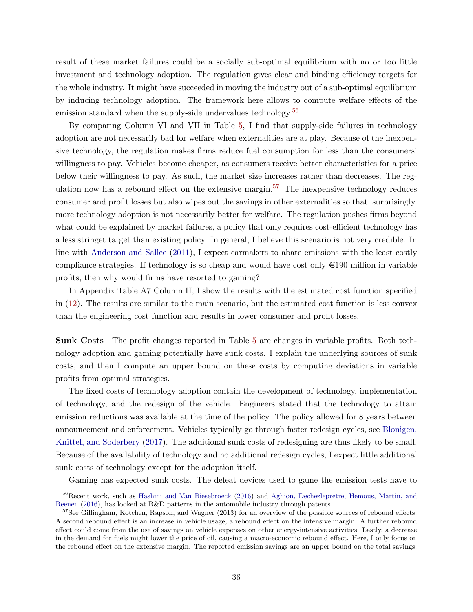result of these market failures could be a socially sub-optimal equilibrium with no or too little investment and technology adoption. The regulation gives clear and binding efficiency targets for the whole industry. It might have succeeded in moving the industry out of a sub-optimal equilibrium by inducing technology adoption. The framework here allows to compute welfare effects of the emission standard when the supply-side undervalues technology.<sup>[56](#page-36-1)</sup>

By comparing Column VI and VII in Table [5,](#page-32-0) I find that supply-side failures in technology adoption are not necessarily bad for welfare when externalities are at play. Because of the inexpensive technology, the regulation makes firms reduce fuel consumption for less than the consumers' willingness to pay. Vehicles become cheaper, as consumers receive better characteristics for a price below their willingness to pay. As such, the market size increases rather than decreases. The reg-ulation now has a rebound effect on the extensive margin.<sup>[57](#page-36-2)</sup> The inexpensive technology reduces consumer and profit losses but also wipes out the savings in other externalities so that, surprisingly, more technology adoption is not necessarily better for welfare. The regulation pushes firms beyond what could be explained by market failures, a policy that only requires cost-efficient technology has a less stringet target than existing policy. In general, I believe this scenario is not very credible. In line with [Anderson and Sallee](#page-39-5) [\(2011\)](#page-39-5), I expect carmakers to abate emissions with the least costly compliance strategies. If technology is so cheap and would have cost only  $\in$ 190 million in variable profits, then why would firms have resorted to gaming?

In Appendix Table A7 Column II, I show the results with the estimated cost function specified in [\(12\)](#page-25-0). The results are similar to the main scenario, but the estimated cost function is less convex than the engineering cost function and results in lower consumer and profit losses.

<span id="page-36-0"></span>Sunk Costs The profit changes reported in Table [5](#page-32-0) are changes in variable profits. Both technology adoption and gaming potentially have sunk costs. I explain the underlying sources of sunk costs, and then I compute an upper bound on these costs by computing deviations in variable profits from optimal strategies.

The fixed costs of technology adoption contain the development of technology, implementation of technology, and the redesign of the vehicle. Engineers stated that the technology to attain emission reductions was available at the time of the policy. The policy allowed for 8 years between announcement and enforcement. Vehicles typically go through faster redesign cycles, see [Blonigen,](#page-39-12) [Knittel, and Soderbery](#page-39-12) [\(2017\)](#page-39-12). The additional sunk costs of redesigning are thus likely to be small. Because of the availability of technology and no additional redesign cycles, I expect little additional sunk costs of technology except for the adoption itself.

<span id="page-36-1"></span>Gaming has expected sunk costs. The defeat devices used to game the emission tests have to

<sup>&</sup>lt;sup>56</sup>Recent work, such as [Hashmi and Van Biesebroeck](#page-40-11) [\(2016\)](#page-40-11) and [Aghion, Dechezlepretre, Hemous, Martin, and](#page-38-4) [Reenen](#page-38-4) [\(2016\)](#page-38-4), has looked at R&D patterns in the automobile industry through patents.

<span id="page-36-2"></span> $57$ See Gillingham, Kotchen, Rapson, and Wagner (2013) for an overview of the possible sources of rebound effects. A second rebound effect is an increase in vehicle usage, a rebound effect on the intensive margin. A further rebound effect could come from the use of savings on vehicle expenses on other energy-intensive activities. Lastly, a decrease in the demand for fuels might lower the price of oil, causing a macro-economic rebound effect. Here, I only focus on the rebound effect on the extensive margin. The reported emission savings are an upper bound on the total savings.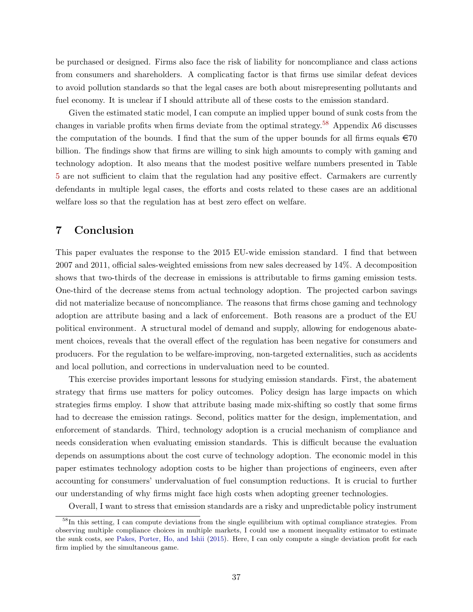be purchased or designed. Firms also face the risk of liability for noncompliance and class actions from consumers and shareholders. A complicating factor is that firms use similar defeat devices to avoid pollution standards so that the legal cases are both about misrepresenting pollutants and fuel economy. It is unclear if I should attribute all of these costs to the emission standard.

Given the estimated static model, I can compute an implied upper bound of sunk costs from the changes in variable profits when firms deviate from the optimal strategy.<sup>[58](#page-37-1)</sup> Appendix A6 discusses the computation of the bounds. I find that the sum of the upper bounds for all firms equals  $\epsilon$ 70 billion. The findings show that firms are willing to sink high amounts to comply with gaming and technology adoption. It also means that the modest positive welfare numbers presented in Table [5](#page-32-0) are not sufficient to claim that the regulation had any positive effect. Carmakers are currently defendants in multiple legal cases, the efforts and costs related to these cases are an additional welfare loss so that the regulation has at best zero effect on welfare.

# <span id="page-37-0"></span>7 Conclusion

This paper evaluates the response to the 2015 EU-wide emission standard. I find that between 2007 and 2011, official sales-weighted emissions from new sales decreased by 14%. A decomposition shows that two-thirds of the decrease in emissions is attributable to firms gaming emission tests. One-third of the decrease stems from actual technology adoption. The projected carbon savings did not materialize because of noncompliance. The reasons that firms chose gaming and technology adoption are attribute basing and a lack of enforcement. Both reasons are a product of the EU political environment. A structural model of demand and supply, allowing for endogenous abatement choices, reveals that the overall effect of the regulation has been negative for consumers and producers. For the regulation to be welfare-improving, non-targeted externalities, such as accidents and local pollution, and corrections in undervaluation need to be counted.

This exercise provides important lessons for studying emission standards. First, the abatement strategy that firms use matters for policy outcomes. Policy design has large impacts on which strategies firms employ. I show that attribute basing made mix-shifting so costly that some firms had to decrease the emission ratings. Second, politics matter for the design, implementation, and enforcement of standards. Third, technology adoption is a crucial mechanism of compliance and needs consideration when evaluating emission standards. This is difficult because the evaluation depends on assumptions about the cost curve of technology adoption. The economic model in this paper estimates technology adoption costs to be higher than projections of engineers, even after accounting for consumers' undervaluation of fuel consumption reductions. It is crucial to further our understanding of why firms might face high costs when adopting greener technologies.

<span id="page-37-1"></span>Overall, I want to stress that emission standards are a risky and unpredictable policy instrument

<sup>&</sup>lt;sup>58</sup>In this setting, I can compute deviations from the single equilibrium with optimal compliance strategies. From observing multiple compliance choices in multiple markets, I could use a moment inequality estimator to estimate the sunk costs, see [Pakes, Porter, Ho, and Ishii](#page-41-14) [\(2015\)](#page-41-14). Here, I can only compute a single deviation profit for each firm implied by the simultaneous game.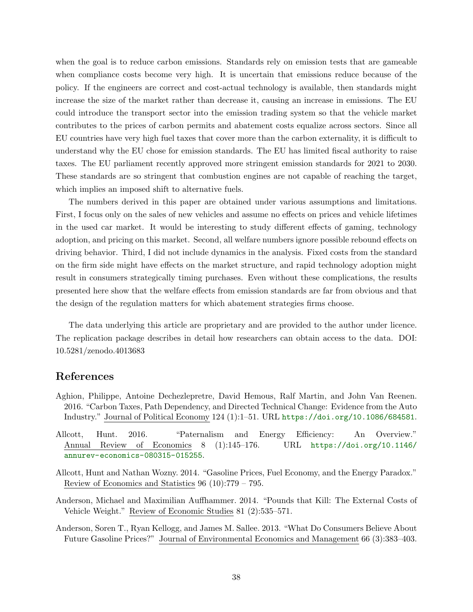when the goal is to reduce carbon emissions. Standards rely on emission tests that are gameable when compliance costs become very high. It is uncertain that emissions reduce because of the policy. If the engineers are correct and cost-actual technology is available, then standards might increase the size of the market rather than decrease it, causing an increase in emissions. The EU could introduce the transport sector into the emission trading system so that the vehicle market contributes to the prices of carbon permits and abatement costs equalize across sectors. Since all EU countries have very high fuel taxes that cover more than the carbon externality, it is difficult to understand why the EU chose for emission standards. The EU has limited fiscal authority to raise taxes. The EU parliament recently approved more stringent emission standards for 2021 to 2030. These standards are so stringent that combustion engines are not capable of reaching the target, which implies an imposed shift to alternative fuels.

The numbers derived in this paper are obtained under various assumptions and limitations. First, I focus only on the sales of new vehicles and assume no effects on prices and vehicle lifetimes in the used car market. It would be interesting to study different effects of gaming, technology adoption, and pricing on this market. Second, all welfare numbers ignore possible rebound effects on driving behavior. Third, I did not include dynamics in the analysis. Fixed costs from the standard on the firm side might have effects on the market structure, and rapid technology adoption might result in consumers strategically timing purchases. Even without these complications, the results presented here show that the welfare effects from emission standards are far from obvious and that the design of the regulation matters for which abatement strategies firms choose.

The data underlying this article are proprietary and are provided to the author under licence. The replication package describes in detail how researchers can obtain access to the data. DOI: 10.5281/zenodo.4013683

#### References

- <span id="page-38-4"></span>Aghion, Philippe, Antoine Dechezlepretre, David Hemous, Ralf Martin, and John Van Reenen. 2016. "Carbon Taxes, Path Dependency, and Directed Technical Change: Evidence from the Auto Industry." Journal of Political Economy 124 (1):1–51. URL <https://doi.org/10.1086/684581>.
- <span id="page-38-3"></span>Allcott, Hunt. 2016. "Paternalism and Energy Efficiency: An Overview." Annual Review of Economics 8 (1):145–176. URL [https://doi.org/10.1146/](https://doi.org/10.1146/annurev-economics-080315-015255) [annurev-economics-080315-015255](https://doi.org/10.1146/annurev-economics-080315-015255).
- <span id="page-38-0"></span>Allcott, Hunt and Nathan Wozny. 2014. "Gasoline Prices, Fuel Economy, and the Energy Paradox." Review of Economics and Statistics 96 (10):779 – 795.
- <span id="page-38-2"></span>Anderson, Michael and Maximilian Auffhammer. 2014. "Pounds that Kill: The External Costs of Vehicle Weight." Review of Economic Studies 81 (2):535–571.
- <span id="page-38-1"></span>Anderson, Soren T., Ryan Kellogg, and James M. Sallee. 2013. "What Do Consumers Believe About Future Gasoline Prices?" Journal of Environmental Economics and Management 66 (3):383–403.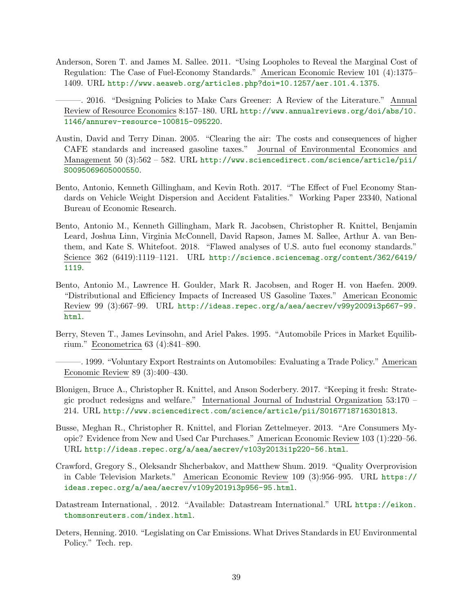<span id="page-39-5"></span>Anderson, Soren T. and James M. Sallee. 2011. "Using Loopholes to Reveal the Marginal Cost of Regulation: The Case of Fuel-Economy Standards." American Economic Review 101 (4):1375– 1409. URL <http://www.aeaweb.org/articles.php?doi=10.1257/aer.101.4.1375>.

<span id="page-39-4"></span>-. 2016. "Designing Policies to Make Cars Greener: A Review of the Literature." Annual Review of Resource Economics 8:157–180. URL [http://www.annualreviews.org/doi/abs/10.](http://www.annualreviews.org/doi/abs/10.1146/annurev-resource-100815-095220) [1146/annurev-resource-100815-095220](http://www.annualreviews.org/doi/abs/10.1146/annurev-resource-100815-095220).

- <span id="page-39-2"></span>Austin, David and Terry Dinan. 2005. "Clearing the air: The costs and consequences of higher CAFE standards and increased gasoline taxes." Journal of Environmental Economics and Management 50 (3):562 – 582. URL [http://www.sciencedirect.com/science/article/pii/](http://www.sciencedirect.com/science/article/pii/S0095069605000550) [S0095069605000550](http://www.sciencedirect.com/science/article/pii/S0095069605000550).
- <span id="page-39-6"></span>Bento, Antonio, Kenneth Gillingham, and Kevin Roth. 2017. "The Effect of Fuel Economy Standards on Vehicle Weight Dispersion and Accident Fatalities." Working Paper 23340, National Bureau of Economic Research.
- <span id="page-39-7"></span>Bento, Antonio M., Kenneth Gillingham, Mark R. Jacobsen, Christopher R. Knittel, Benjamin Leard, Joshua Linn, Virginia McConnell, David Rapson, James M. Sallee, Arthur A. van Benthem, and Kate S. Whitefoot. 2018. "Flawed analyses of U.S. auto fuel economy standards." Science 362 (6419):1119–1121. URL [http://science.sciencemag.org/content/362/6419/](http://science.sciencemag.org/content/362/6419/1119) [1119](http://science.sciencemag.org/content/362/6419/1119).
- <span id="page-39-3"></span>Bento, Antonio M., Lawrence H. Goulder, Mark R. Jacobsen, and Roger H. von Haefen. 2009. "Distributional and Efficiency Impacts of Increased US Gasoline Taxes." American Economic Review 99 (3):667–99. URL [http://ideas.repec.org/a/aea/aecrev/v99y2009i3p667-99.](http://ideas.repec.org/a/aea/aecrev/v99y2009i3p667-99.html) [html](http://ideas.repec.org/a/aea/aecrev/v99y2009i3p667-99.html).
- <span id="page-39-0"></span>Berry, Steven T., James Levinsohn, and Ariel Pakes. 1995. "Automobile Prices in Market Equilibrium." Econometrica 63 (4):841–890.
- <span id="page-39-10"></span>———. 1999. "Voluntary Export Restraints on Automobiles: Evaluating a Trade Policy." American Economic Review 89 (3):400–430.
- <span id="page-39-12"></span>Blonigen, Bruce A., Christopher R. Knittel, and Anson Soderbery. 2017. "Keeping it fresh: Strategic product redesigns and welfare." International Journal of Industrial Organization 53:170 – 214. URL <http://www.sciencedirect.com/science/article/pii/S0167718716301813>.
- <span id="page-39-11"></span>Busse, Meghan R., Christopher R. Knittel, and Florian Zettelmeyer. 2013. "Are Consumers Myopic? Evidence from New and Used Car Purchases." American Economic Review 103 (1):220–56. URL <http://ideas.repec.org/a/aea/aecrev/v103y2013i1p220-56.html>.
- <span id="page-39-1"></span>Crawford, Gregory S., Oleksandr Shcherbakov, and Matthew Shum. 2019. "Quality Overprovision in Cable Television Markets." American Economic Review 109 (3):956–995. URL [https://](https://ideas.repec.org/a/aea/aecrev/v109y2019i3p956-95.html) [ideas.repec.org/a/aea/aecrev/v109y2019i3p956-95.html](https://ideas.repec.org/a/aea/aecrev/v109y2019i3p956-95.html).
- <span id="page-39-9"></span>Datastream International, . 2012. "Available: Datastream International." URL [https://eikon.](https://eikon.thomsonreuters.com/index.html) [thomsonreuters.com/index.html](https://eikon.thomsonreuters.com/index.html).
- <span id="page-39-8"></span>Deters, Henning. 2010. "Legislating on Car Emissions. What Drives Standards in EU Environmental Policy." Tech. rep.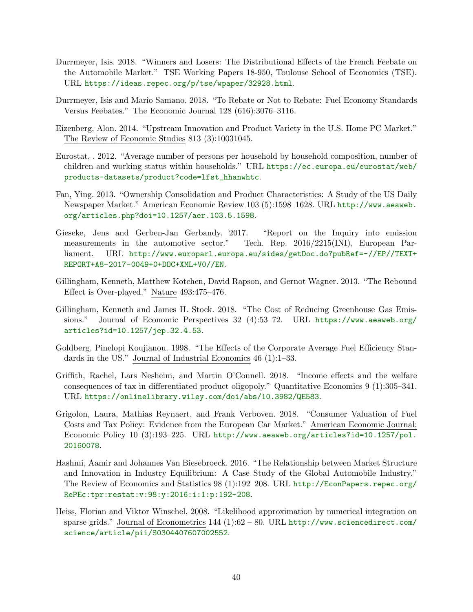- <span id="page-40-0"></span>Durrmeyer, Isis. 2018. "Winners and Losers: The Distributional Effects of the French Feebate on the Automobile Market." TSE Working Papers 18-950, Toulouse School of Economics (TSE). URL <https://ideas.repec.org/p/tse/wpaper/32928.html>.
- <span id="page-40-5"></span>Durrmeyer, Isis and Mario Samano. 2018. "To Rebate or Not to Rebate: Fuel Economy Standards Versus Feebates." The Economic Journal 128 (616):3076–3116.
- <span id="page-40-2"></span>Eizenberg, Alon. 2014. "Upstream Innovation and Product Variety in the U.S. Home PC Market." The Review of Economic Studies 813 (3):10031045.
- <span id="page-40-6"></span>Eurostat, . 2012. "Average number of persons per household by household composition, number of children and working status within households." URL [https://ec.europa.eu/eurostat/web/](https://ec.europa.eu/eurostat/web/products-datasets/product?code=lfst_hhanwhtc) [products-datasets/product?code=lfst\\_hhanwhtc](https://ec.europa.eu/eurostat/web/products-datasets/product?code=lfst_hhanwhtc).
- <span id="page-40-1"></span>Fan, Ying. 2013. "Ownership Consolidation and Product Characteristics: A Study of the US Daily Newspaper Market." American Economic Review 103 (5):1598–1628. URL [http://www.aeaweb.](http://www.aeaweb.org/articles.php?doi=10.1257/aer.103.5.1598) [org/articles.php?doi=10.1257/aer.103.5.1598](http://www.aeaweb.org/articles.php?doi=10.1257/aer.103.5.1598).
- <span id="page-40-3"></span>Gieseke, Jens and Gerben-Jan Gerbandy. 2017. "Report on the Inquiry into emission measurements in the automotive sector." Tech. Rep. 2016/2215(INI), European Parliament. URL [http://www.europarl.europa.eu/sides/getDoc.do?pubRef=-//EP//TEXT+](http://www.europarl.europa.eu/sides/getDoc.do?pubRef=-//EP//TEXT+REPORT+A8-2017-0049+0+DOC+XML+V0//EN) [REPORT+A8-2017-0049+0+DOC+XML+V0//EN](http://www.europarl.europa.eu/sides/getDoc.do?pubRef=-//EP//TEXT+REPORT+A8-2017-0049+0+DOC+XML+V0//EN).
- Gillingham, Kenneth, Matthew Kotchen, David Rapson, and Gernot Wagner. 2013. "The Rebound Effect is Over-played." Nature 493:475–476.
- <span id="page-40-10"></span>Gillingham, Kenneth and James H. Stock. 2018. "The Cost of Reducing Greenhouse Gas Emissions." Journal of Economic Perspectives 32 (4):53–72. URL [https://www.aeaweb.org/](https://www.aeaweb.org/articles?id=10.1257/jep.32.4.53) [articles?id=10.1257/jep.32.4.53](https://www.aeaweb.org/articles?id=10.1257/jep.32.4.53).
- <span id="page-40-4"></span>Goldberg, Pinelopi Koujianou. 1998. "The Effects of the Corporate Average Fuel Efficiency Standards in the US." Journal of Industrial Economics 46 (1):1–33.
- <span id="page-40-8"></span>Griffith, Rachel, Lars Nesheim, and Martin O'Connell. 2018. "Income effects and the welfare consequences of tax in differentiated product oligopoly." Quantitative Economics 9 (1):305–341. URL <https://onlinelibrary.wiley.com/doi/abs/10.3982/QE583>.
- <span id="page-40-7"></span>Grigolon, Laura, Mathias Reynaert, and Frank Verboven. 2018. "Consumer Valuation of Fuel Costs and Tax Policy: Evidence from the European Car Market." American Economic Journal: Economic Policy 10 (3):193–225. URL [http://www.aeaweb.org/articles?id=10.1257/pol.](http://www.aeaweb.org/articles?id=10.1257/pol.20160078) [20160078](http://www.aeaweb.org/articles?id=10.1257/pol.20160078).
- <span id="page-40-11"></span>Hashmi, Aamir and Johannes Van Biesebroeck. 2016. "The Relationship between Market Structure and Innovation in Industry Equilibrium: A Case Study of the Global Automobile Industry." The Review of Economics and Statistics 98 (1):192–208. URL [http://EconPapers.repec.org/](http://EconPapers.repec.org/RePEc:tpr:restat:v:98:y:2016:i:1:p:192-208) [RePEc:tpr:restat:v:98:y:2016:i:1:p:192-208](http://EconPapers.repec.org/RePEc:tpr:restat:v:98:y:2016:i:1:p:192-208).
- <span id="page-40-9"></span>Heiss, Florian and Viktor Winschel. 2008. "Likelihood approximation by numerical integration on sparse grids." Journal of Econometrics 144 (1):62 – 80. URL [http://www.sciencedirect.com/](http://www.sciencedirect.com/science/article/pii/S0304407607002552) [science/article/pii/S0304407607002552](http://www.sciencedirect.com/science/article/pii/S0304407607002552).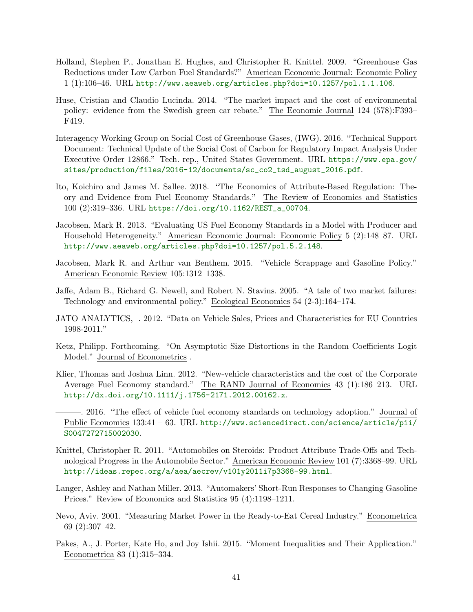- <span id="page-41-4"></span>Holland, Stephen P., Jonathan E. Hughes, and Christopher R. Knittel. 2009. "Greenhouse Gas Reductions under Low Carbon Fuel Standards?" American Economic Journal: Economic Policy 1 (1):106–46. URL <http://www.aeaweb.org/articles.php?doi=10.1257/pol.1.1.106>.
- <span id="page-41-2"></span>Huse, Cristian and Claudio Lucinda. 2014. "The market impact and the cost of environmental policy: evidence from the Swedish green car rebate." The Economic Journal 124 (578):F393– F419.
- <span id="page-41-12"></span>Interagency Working Group on Social Cost of Greenhouse Gases, (IWG). 2016. "Technical Support Document: Technical Update of the Social Cost of Carbon for Regulatory Impact Analysis Under Executive Order 12866." Tech. rep., United States Government. URL [https://www.epa.gov/](https://www.epa.gov/sites/production/files/2016-12/documents/sc_co2_tsd_august_2016.pdf) [sites/production/files/2016-12/documents/sc\\_co2\\_tsd\\_august\\_2016.pdf](https://www.epa.gov/sites/production/files/2016-12/documents/sc_co2_tsd_august_2016.pdf).
- <span id="page-41-6"></span>Ito, Koichiro and James M. Sallee. 2018. "The Economics of Attribute-Based Regulation: Theory and Evidence from Fuel Economy Standards." The Review of Economics and Statistics 100 (2):319–336. URL [https://doi.org/10.1162/REST\\_a\\_00704](https://doi.org/10.1162/REST_a_00704).
- <span id="page-41-3"></span>Jacobsen, Mark R. 2013. "Evaluating US Fuel Economy Standards in a Model with Producer and Household Heterogeneity." American Economic Journal: Economic Policy 5 (2):148–87. URL <http://www.aeaweb.org/articles.php?doi=10.1257/pol.5.2.148>.
- <span id="page-41-7"></span>Jacobsen, Mark R. and Arthur van Benthem. 2015. "Vehicle Scrappage and Gasoline Policy." American Economic Review 105:1312–1338.
- <span id="page-41-13"></span>Jaffe, Adam B., Richard G. Newell, and Robert N. Stavins. 2005. "A tale of two market failures: Technology and environmental policy." Ecological Economics 54 (2-3):164–174.
- <span id="page-41-8"></span>JATO ANALYTICS, . 2012. "Data on Vehicle Sales, Prices and Characteristics for EU Countries 1998-2011."
- <span id="page-41-10"></span>Ketz, Philipp. Forthcoming. "On Asymptotic Size Distortions in the Random Coefficients Logit Model." Journal of Econometrics .
- <span id="page-41-5"></span>Klier, Thomas and Joshua Linn. 2012. "New-vehicle characteristics and the cost of the Corporate Average Fuel Economy standard." The RAND Journal of Economics 43 (1):186–213. URL <http://dx.doi.org/10.1111/j.1756-2171.2012.00162.x>.
- <span id="page-41-1"></span>-. 2016. "The effect of vehicle fuel economy standards on technology adoption." Journal of Public Economics 133:41 – 63. URL [http://www.sciencedirect.com/science/article/pii/](http://www.sciencedirect.com/science/article/pii/S0047272715002030) [S0047272715002030](http://www.sciencedirect.com/science/article/pii/S0047272715002030).
- <span id="page-41-0"></span>Knittel, Christopher R. 2011. "Automobiles on Steroids: Product Attribute Trade-Offs and Technological Progress in the Automobile Sector." American Economic Review 101 (7):3368–99. URL <http://ideas.repec.org/a/aea/aecrev/v101y2011i7p3368-99.html>.
- <span id="page-41-11"></span>Langer, Ashley and Nathan Miller. 2013. "Automakers' Short-Run Responses to Changing Gasoline Prices." Review of Economics and Statistics 95 (4):1198–1211.
- <span id="page-41-9"></span>Nevo, Aviv. 2001. "Measuring Market Power in the Ready-to-Eat Cereal Industry." Econometrica 69 (2):307–42.
- <span id="page-41-14"></span>Pakes, A., J. Porter, Kate Ho, and Joy Ishii. 2015. "Moment Inequalities and Their Application." Econometrica 83 (1):315–334.